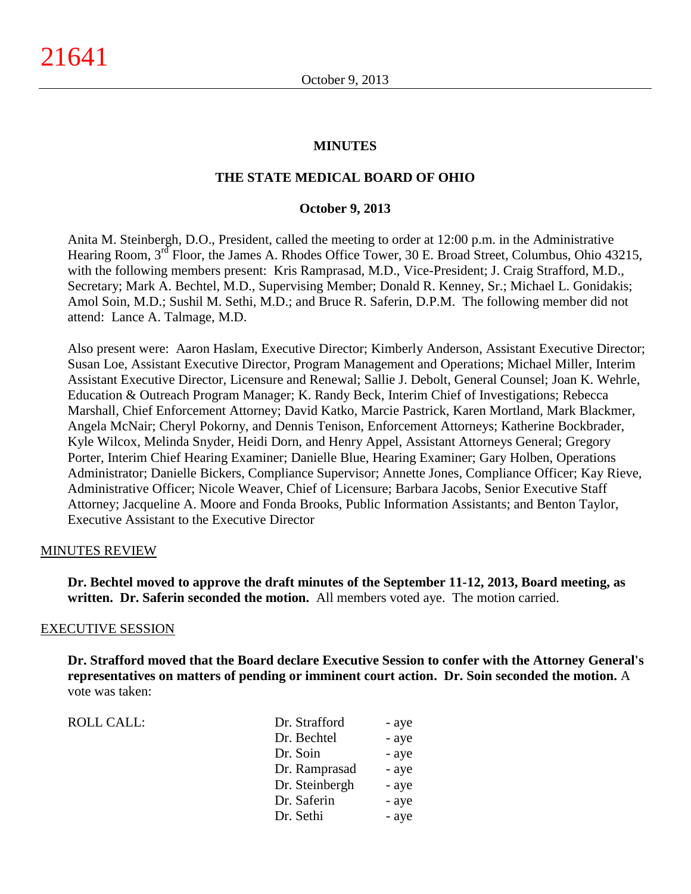### **MINUTES**

### **THE STATE MEDICAL BOARD OF OHIO**

#### **October 9, 2013**

Anita M. Steinbergh, D.O., President, called the meeting to order at 12:00 p.m. in the Administrative Hearing Room, 3<sup>rd</sup> Floor, the James A. Rhodes Office Tower, 30 E. Broad Street, Columbus, Ohio 43215, with the following members present: Kris Ramprasad, M.D., Vice-President; J. Craig Strafford, M.D., Secretary; Mark A. Bechtel, M.D., Supervising Member; Donald R. Kenney, Sr.; Michael L. Gonidakis; Amol Soin, M.D.; Sushil M. Sethi, M.D.; and Bruce R. Saferin, D.P.M. The following member did not attend: Lance A. Talmage, M.D.

Also present were: Aaron Haslam, Executive Director; Kimberly Anderson, Assistant Executive Director; Susan Loe, Assistant Executive Director, Program Management and Operations; Michael Miller, Interim Assistant Executive Director, Licensure and Renewal; Sallie J. Debolt, General Counsel; Joan K. Wehrle, Education & Outreach Program Manager; K. Randy Beck, Interim Chief of Investigations; Rebecca Marshall, Chief Enforcement Attorney; David Katko, Marcie Pastrick, Karen Mortland, Mark Blackmer, Angela McNair; Cheryl Pokorny, and Dennis Tenison, Enforcement Attorneys; Katherine Bockbrader, Kyle Wilcox, Melinda Snyder, Heidi Dorn, and Henry Appel, Assistant Attorneys General; Gregory Porter, Interim Chief Hearing Examiner; Danielle Blue, Hearing Examiner; Gary Holben, Operations Administrator; Danielle Bickers, Compliance Supervisor; Annette Jones, Compliance Officer; Kay Rieve, Administrative Officer; Nicole Weaver, Chief of Licensure; Barbara Jacobs, Senior Executive Staff Attorney; Jacqueline A. Moore and Fonda Brooks, Public Information Assistants; and Benton Taylor, Executive Assistant to the Executive Director

### MINUTES REVIEW

**Dr. Bechtel moved to approve the draft minutes of the September 11-12, 2013, Board meeting, as written. Dr. Saferin seconded the motion.** All members voted aye. The motion carried.

#### EXECUTIVE SESSION

**Dr. Strafford moved that the Board declare Executive Session to confer with the Attorney General's representatives on matters of pending or imminent court action. Dr. Soin seconded the motion.** A vote was taken:

ROLL CALL:

| Dr. Strafford  | - aye |
|----------------|-------|
| Dr. Bechtel    | - aye |
| Dr. Soin       | - aye |
| Dr. Ramprasad  | - aye |
| Dr. Steinbergh | - aye |
| Dr. Saferin    | - aye |
| Dr. Sethi      | - aye |
|                |       |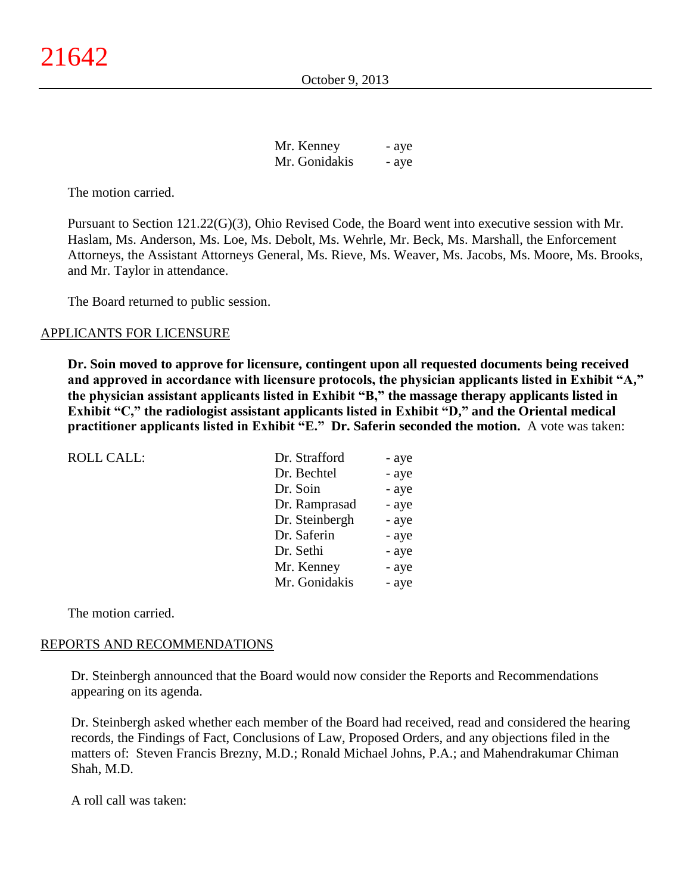October 9, 2013

| Mr. Kenney    | - aye |
|---------------|-------|
| Mr. Gonidakis | - aye |

The motion carried.

Pursuant to Section 121.22(G)(3), Ohio Revised Code, the Board went into executive session with Mr. Haslam, Ms. Anderson, Ms. Loe, Ms. Debolt, Ms. Wehrle, Mr. Beck, Ms. Marshall, the Enforcement Attorneys, the Assistant Attorneys General, Ms. Rieve, Ms. Weaver, Ms. Jacobs, Ms. Moore, Ms. Brooks, and Mr. Taylor in attendance.

The Board returned to public session.

### APPLICANTS FOR LICENSURE

**Dr. Soin moved to approve for licensure, contingent upon all requested documents being received and approved in accordance with licensure protocols, the physician applicants listed in Exhibit "A," the physician assistant applicants listed in Exhibit "B," the massage therapy applicants listed in Exhibit "C," the radiologist assistant applicants listed in Exhibit "D," and the Oriental medical practitioner applicants listed in Exhibit "E." Dr. Saferin seconded the motion.** A vote was taken:

| <b>ROLL CALL:</b> | Dr. Strafford  | - aye |
|-------------------|----------------|-------|
|                   | Dr. Bechtel    | - aye |
|                   | Dr. Soin       | - aye |
|                   | Dr. Ramprasad  | - aye |
|                   | Dr. Steinbergh | - aye |
|                   | Dr. Saferin    | - aye |
|                   | Dr. Sethi      | - aye |
|                   | Mr. Kenney     | - aye |
|                   | Mr. Gonidakis  | - aye |

The motion carried.

### REPORTS AND RECOMMENDATIONS

Dr. Steinbergh announced that the Board would now consider the Reports and Recommendations appearing on its agenda.

Dr. Steinbergh asked whether each member of the Board had received, read and considered the hearing records, the Findings of Fact, Conclusions of Law, Proposed Orders, and any objections filed in the matters of: Steven Francis Brezny, M.D.; Ronald Michael Johns, P.A.; and Mahendrakumar Chiman Shah, M.D.

A roll call was taken: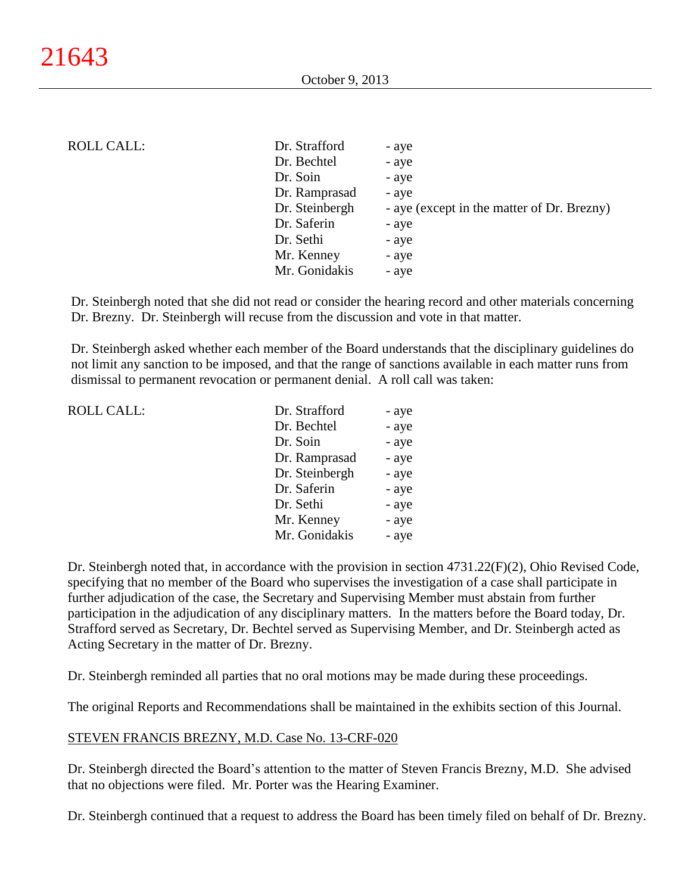### ROLL CALL:

| Dr. Strafford  | - aye                                      |
|----------------|--------------------------------------------|
| Dr. Bechtel    | - aye                                      |
| Dr. Soin       | - aye                                      |
| Dr. Ramprasad  | - aye                                      |
| Dr. Steinbergh | - aye (except in the matter of Dr. Brezny) |
| Dr. Saferin    | - aye                                      |
| Dr. Sethi      | - aye                                      |
| Mr. Kenney     | - aye                                      |
| Mr. Gonidakis  | - aye                                      |
|                |                                            |

Dr. Steinbergh noted that she did not read or consider the hearing record and other materials concerning Dr. Brezny. Dr. Steinbergh will recuse from the discussion and vote in that matter.

Dr. Steinbergh asked whether each member of the Board understands that the disciplinary guidelines do not limit any sanction to be imposed, and that the range of sanctions available in each matter runs from dismissal to permanent revocation or permanent denial. A roll call was taken:

| <b>ROLL CALL:</b> | Dr. Strafford  | - aye |
|-------------------|----------------|-------|
|                   | Dr. Bechtel    | - aye |
|                   | Dr. Soin       | - aye |
|                   | Dr. Ramprasad  | - aye |
|                   | Dr. Steinbergh | - aye |
|                   | Dr. Saferin    | - aye |
|                   | Dr. Sethi      | - aye |
|                   | Mr. Kenney     | - aye |
|                   | Mr. Gonidakis  | - aye |
|                   |                |       |

Dr. Steinbergh noted that, in accordance with the provision in section 4731.22(F)(2), Ohio Revised Code, specifying that no member of the Board who supervises the investigation of a case shall participate in further adjudication of the case, the Secretary and Supervising Member must abstain from further participation in the adjudication of any disciplinary matters. In the matters before the Board today, Dr. Strafford served as Secretary, Dr. Bechtel served as Supervising Member, and Dr. Steinbergh acted as Acting Secretary in the matter of Dr. Brezny.

Dr. Steinbergh reminded all parties that no oral motions may be made during these proceedings.

The original Reports and Recommendations shall be maintained in the exhibits section of this Journal.

#### STEVEN FRANCIS BREZNY, M.D. Case No. 13-CRF-020

Dr. Steinbergh directed the Board's attention to the matter of Steven Francis Brezny, M.D. She advised that no objections were filed. Mr. Porter was the Hearing Examiner.

Dr. Steinbergh continued that a request to address the Board has been timely filed on behalf of Dr. Brezny.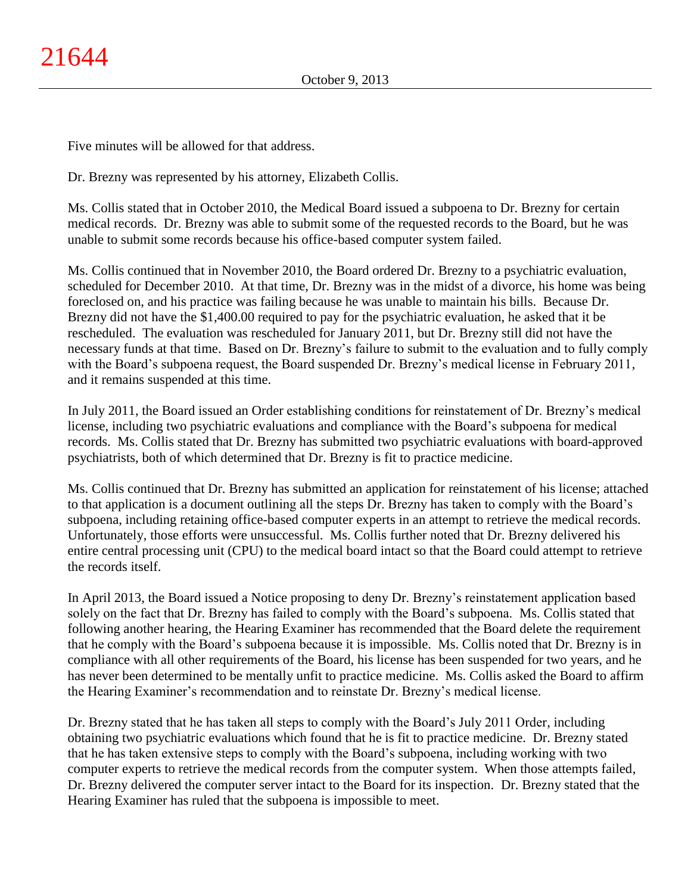Five minutes will be allowed for that address.

Dr. Brezny was represented by his attorney, Elizabeth Collis.

Ms. Collis stated that in October 2010, the Medical Board issued a subpoena to Dr. Brezny for certain medical records. Dr. Brezny was able to submit some of the requested records to the Board, but he was unable to submit some records because his office-based computer system failed.

Ms. Collis continued that in November 2010, the Board ordered Dr. Brezny to a psychiatric evaluation, scheduled for December 2010. At that time, Dr. Brezny was in the midst of a divorce, his home was being foreclosed on, and his practice was failing because he was unable to maintain his bills. Because Dr. Brezny did not have the \$1,400.00 required to pay for the psychiatric evaluation, he asked that it be rescheduled. The evaluation was rescheduled for January 2011, but Dr. Brezny still did not have the necessary funds at that time. Based on Dr. Brezny's failure to submit to the evaluation and to fully comply with the Board's subpoena request, the Board suspended Dr. Brezny's medical license in February 2011, and it remains suspended at this time.

In July 2011, the Board issued an Order establishing conditions for reinstatement of Dr. Brezny's medical license, including two psychiatric evaluations and compliance with the Board's subpoena for medical records. Ms. Collis stated that Dr. Brezny has submitted two psychiatric evaluations with board-approved psychiatrists, both of which determined that Dr. Brezny is fit to practice medicine.

Ms. Collis continued that Dr. Brezny has submitted an application for reinstatement of his license; attached to that application is a document outlining all the steps Dr. Brezny has taken to comply with the Board's subpoena, including retaining office-based computer experts in an attempt to retrieve the medical records. Unfortunately, those efforts were unsuccessful. Ms. Collis further noted that Dr. Brezny delivered his entire central processing unit (CPU) to the medical board intact so that the Board could attempt to retrieve the records itself.

In April 2013, the Board issued a Notice proposing to deny Dr. Brezny's reinstatement application based solely on the fact that Dr. Brezny has failed to comply with the Board's subpoena. Ms. Collis stated that following another hearing, the Hearing Examiner has recommended that the Board delete the requirement that he comply with the Board's subpoena because it is impossible. Ms. Collis noted that Dr. Brezny is in compliance with all other requirements of the Board, his license has been suspended for two years, and he has never been determined to be mentally unfit to practice medicine. Ms. Collis asked the Board to affirm the Hearing Examiner's recommendation and to reinstate Dr. Brezny's medical license.

Dr. Brezny stated that he has taken all steps to comply with the Board's July 2011 Order, including obtaining two psychiatric evaluations which found that he is fit to practice medicine. Dr. Brezny stated that he has taken extensive steps to comply with the Board's subpoena, including working with two computer experts to retrieve the medical records from the computer system. When those attempts failed, Dr. Brezny delivered the computer server intact to the Board for its inspection. Dr. Brezny stated that the Hearing Examiner has ruled that the subpoena is impossible to meet.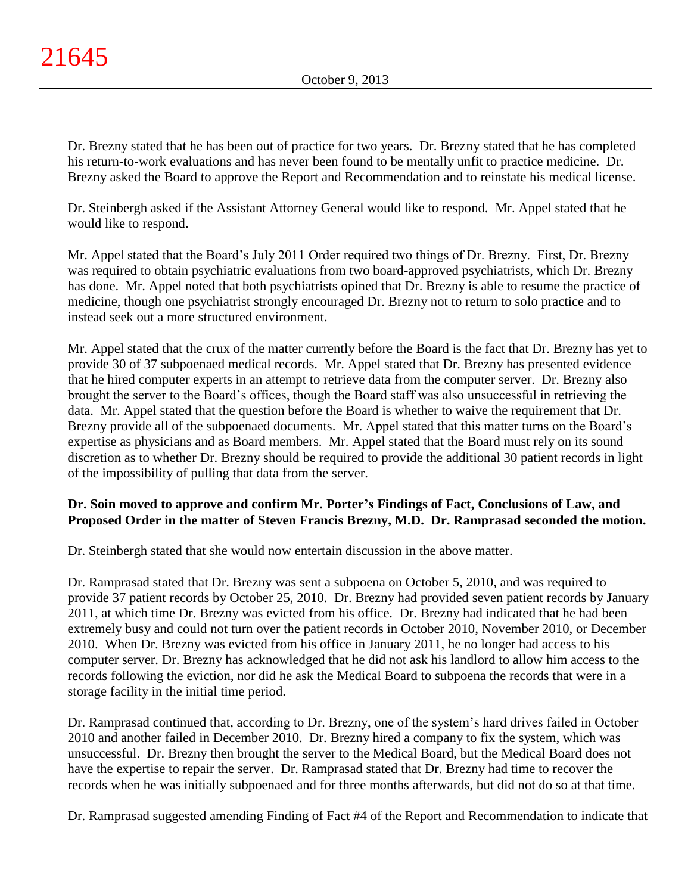Dr. Brezny stated that he has been out of practice for two years. Dr. Brezny stated that he has completed his return-to-work evaluations and has never been found to be mentally unfit to practice medicine. Dr. Brezny asked the Board to approve the Report and Recommendation and to reinstate his medical license.

Dr. Steinbergh asked if the Assistant Attorney General would like to respond. Mr. Appel stated that he would like to respond.

Mr. Appel stated that the Board's July 2011 Order required two things of Dr. Brezny. First, Dr. Brezny was required to obtain psychiatric evaluations from two board-approved psychiatrists, which Dr. Brezny has done. Mr. Appel noted that both psychiatrists opined that Dr. Brezny is able to resume the practice of medicine, though one psychiatrist strongly encouraged Dr. Brezny not to return to solo practice and to instead seek out a more structured environment.

Mr. Appel stated that the crux of the matter currently before the Board is the fact that Dr. Brezny has yet to provide 30 of 37 subpoenaed medical records. Mr. Appel stated that Dr. Brezny has presented evidence that he hired computer experts in an attempt to retrieve data from the computer server. Dr. Brezny also brought the server to the Board's offices, though the Board staff was also unsuccessful in retrieving the data. Mr. Appel stated that the question before the Board is whether to waive the requirement that Dr. Brezny provide all of the subpoenaed documents. Mr. Appel stated that this matter turns on the Board's expertise as physicians and as Board members. Mr. Appel stated that the Board must rely on its sound discretion as to whether Dr. Brezny should be required to provide the additional 30 patient records in light of the impossibility of pulling that data from the server.

# **Dr. Soin moved to approve and confirm Mr. Porter's Findings of Fact, Conclusions of Law, and Proposed Order in the matter of Steven Francis Brezny, M.D. Dr. Ramprasad seconded the motion.**

Dr. Steinbergh stated that she would now entertain discussion in the above matter.

Dr. Ramprasad stated that Dr. Brezny was sent a subpoena on October 5, 2010, and was required to provide 37 patient records by October 25, 2010. Dr. Brezny had provided seven patient records by January 2011, at which time Dr. Brezny was evicted from his office. Dr. Brezny had indicated that he had been extremely busy and could not turn over the patient records in October 2010, November 2010, or December 2010. When Dr. Brezny was evicted from his office in January 2011, he no longer had access to his computer server. Dr. Brezny has acknowledged that he did not ask his landlord to allow him access to the records following the eviction, nor did he ask the Medical Board to subpoena the records that were in a storage facility in the initial time period.

Dr. Ramprasad continued that, according to Dr. Brezny, one of the system's hard drives failed in October 2010 and another failed in December 2010. Dr. Brezny hired a company to fix the system, which was unsuccessful. Dr. Brezny then brought the server to the Medical Board, but the Medical Board does not have the expertise to repair the server. Dr. Ramprasad stated that Dr. Brezny had time to recover the records when he was initially subpoenaed and for three months afterwards, but did not do so at that time.

Dr. Ramprasad suggested amending Finding of Fact #4 of the Report and Recommendation to indicate that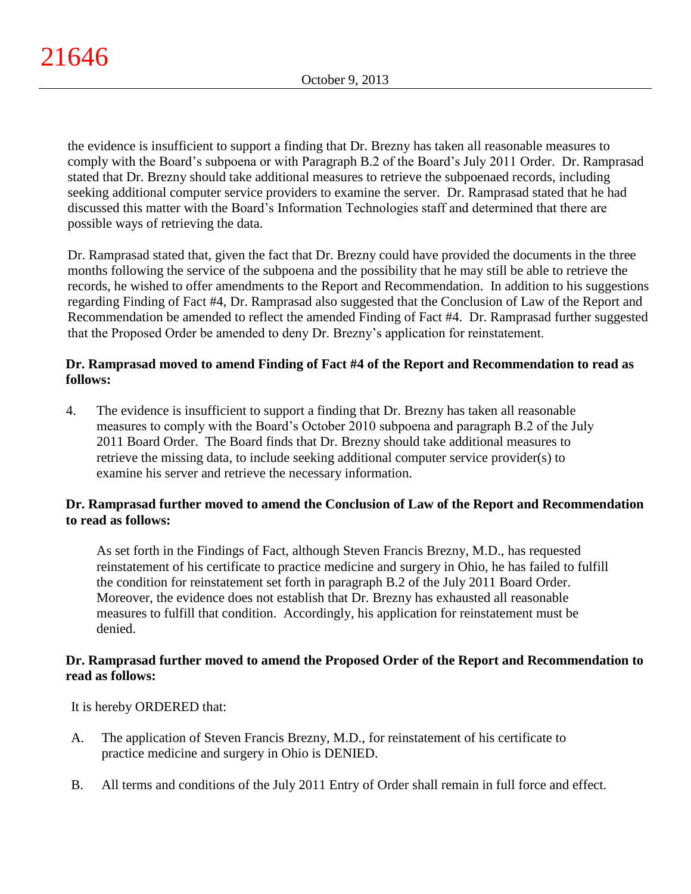the evidence is insufficient to support a finding that Dr. Brezny has taken all reasonable measures to comply with the Board's subpoena or with Paragraph B.2 of the Board's July 2011 Order. Dr. Ramprasad stated that Dr. Brezny should take additional measures to retrieve the subpoenaed records, including seeking additional computer service providers to examine the server. Dr. Ramprasad stated that he had discussed this matter with the Board's Information Technologies staff and determined that there are possible ways of retrieving the data.

Dr. Ramprasad stated that, given the fact that Dr. Brezny could have provided the documents in the three months following the service of the subpoena and the possibility that he may still be able to retrieve the records, he wished to offer amendments to the Report and Recommendation. In addition to his suggestions regarding Finding of Fact #4, Dr. Ramprasad also suggested that the Conclusion of Law of the Report and Recommendation be amended to reflect the amended Finding of Fact #4. Dr. Ramprasad further suggested that the Proposed Order be amended to deny Dr. Brezny's application for reinstatement.

## **Dr. Ramprasad moved to amend Finding of Fact #4 of the Report and Recommendation to read as follows:**

4. The evidence is insufficient to support a finding that Dr. Brezny has taken all reasonable measures to comply with the Board's October 2010 subpoena and paragraph B.2 of the July 2011 Board Order. The Board finds that Dr. Brezny should take additional measures to retrieve the missing data, to include seeking additional computer service provider(s) to examine his server and retrieve the necessary information.

# **Dr. Ramprasad further moved to amend the Conclusion of Law of the Report and Recommendation to read as follows:**

As set forth in the Findings of Fact, although Steven Francis Brezny, M.D., has requested reinstatement of his certificate to practice medicine and surgery in Ohio, he has failed to fulfill the condition for reinstatement set forth in paragraph B.2 of the July 2011 Board Order. Moreover, the evidence does not establish that Dr. Brezny has exhausted all reasonable measures to fulfill that condition. Accordingly, his application for reinstatement must be denied.

# **Dr. Ramprasad further moved to amend the Proposed Order of the Report and Recommendation to read as follows:**

It is hereby ORDERED that:

- A. The application of Steven Francis Brezny, M.D., for reinstatement of his certificate to practice medicine and surgery in Ohio is DENIED.
- B. All terms and conditions of the July 2011 Entry of Order shall remain in full force and effect.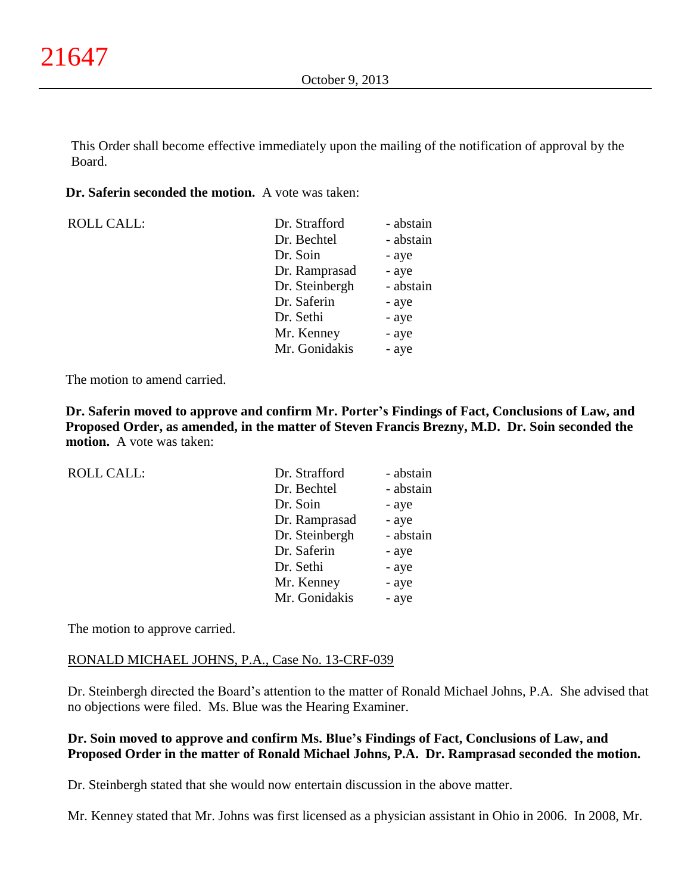This Order shall become effective immediately upon the mailing of the notification of approval by the Board.

### **Dr. Saferin seconded the motion.** A vote was taken:

ROLL CALL:

| Dr. Strafford  | - abstain |
|----------------|-----------|
| Dr. Bechtel    | - abstain |
| Dr. Soin       | - aye     |
| Dr. Ramprasad  | - aye     |
| Dr. Steinbergh | - abstain |
| Dr. Saferin    | - aye     |
| Dr. Sethi      | - aye     |
| Mr. Kenney     | - aye     |
| Mr. Gonidakis  | - aye     |

The motion to amend carried.

**Dr. Saferin moved to approve and confirm Mr. Porter's Findings of Fact, Conclusions of Law, and Proposed Order, as amended, in the matter of Steven Francis Brezny, M.D. Dr. Soin seconded the motion.** A vote was taken:

| <b>ROLL CALL:</b> | Dr. Strafford  | - abstain |
|-------------------|----------------|-----------|
|                   | Dr. Bechtel    | - abstain |
|                   | Dr. Soin       | - aye     |
|                   | Dr. Ramprasad  | - aye     |
|                   | Dr. Steinbergh | - abstain |
|                   | Dr. Saferin    | - aye     |
|                   | Dr. Sethi      | - aye     |
|                   | Mr. Kenney     | - aye     |
|                   | Mr. Gonidakis  | - aye     |
|                   |                |           |

The motion to approve carried.

## RONALD MICHAEL JOHNS, P.A., Case No. 13-CRF-039

Dr. Steinbergh directed the Board's attention to the matter of Ronald Michael Johns, P.A. She advised that no objections were filed. Ms. Blue was the Hearing Examiner.

# **Dr. Soin moved to approve and confirm Ms. Blue's Findings of Fact, Conclusions of Law, and Proposed Order in the matter of Ronald Michael Johns, P.A. Dr. Ramprasad seconded the motion.**

Dr. Steinbergh stated that she would now entertain discussion in the above matter.

Mr. Kenney stated that Mr. Johns was first licensed as a physician assistant in Ohio in 2006. In 2008, Mr.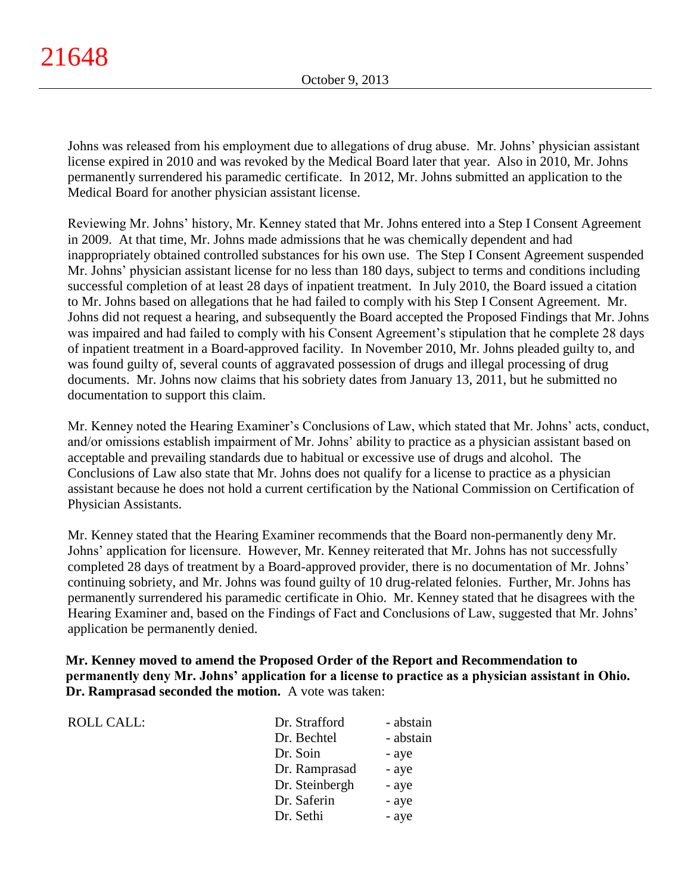Johns was released from his employment due to allegations of drug abuse. Mr. Johns' physician assistant license expired in 2010 and was revoked by the Medical Board later that year. Also in 2010, Mr. Johns permanently surrendered his paramedic certificate. In 2012, Mr. Johns submitted an application to the Medical Board for another physician assistant license.

Reviewing Mr. Johns' history, Mr. Kenney stated that Mr. Johns entered into a Step I Consent Agreement in 2009. At that time, Mr. Johns made admissions that he was chemically dependent and had inappropriately obtained controlled substances for his own use. The Step I Consent Agreement suspended Mr. Johns' physician assistant license for no less than 180 days, subject to terms and conditions including successful completion of at least 28 days of inpatient treatment. In July 2010, the Board issued a citation to Mr. Johns based on allegations that he had failed to comply with his Step I Consent Agreement. Mr. Johns did not request a hearing, and subsequently the Board accepted the Proposed Findings that Mr. Johns was impaired and had failed to comply with his Consent Agreement's stipulation that he complete 28 days of inpatient treatment in a Board-approved facility. In November 2010, Mr. Johns pleaded guilty to, and was found guilty of, several counts of aggravated possession of drugs and illegal processing of drug documents. Mr. Johns now claims that his sobriety dates from January 13, 2011, but he submitted no documentation to support this claim.

Mr. Kenney noted the Hearing Examiner's Conclusions of Law, which stated that Mr. Johns' acts, conduct, and/or omissions establish impairment of Mr. Johns' ability to practice as a physician assistant based on acceptable and prevailing standards due to habitual or excessive use of drugs and alcohol. The Conclusions of Law also state that Mr. Johns does not qualify for a license to practice as a physician assistant because he does not hold a current certification by the National Commission on Certification of Physician Assistants.

Mr. Kenney stated that the Hearing Examiner recommends that the Board non-permanently deny Mr. Johns' application for licensure. However, Mr. Kenney reiterated that Mr. Johns has not successfully completed 28 days of treatment by a Board-approved provider, there is no documentation of Mr. Johns' continuing sobriety, and Mr. Johns was found guilty of 10 drug-related felonies. Further, Mr. Johns has permanently surrendered his paramedic certificate in Ohio. Mr. Kenney stated that he disagrees with the Hearing Examiner and, based on the Findings of Fact and Conclusions of Law, suggested that Mr. Johns' application be permanently denied.

**Mr. Kenney moved to amend the Proposed Order of the Report and Recommendation to permanently deny Mr. Johns' application for a license to practice as a physician assistant in Ohio. Dr. Ramprasad seconded the motion.** A vote was taken:

| ROLL CALL: | Dr. Strafford  | - abstain |
|------------|----------------|-----------|
|            | Dr. Bechtel    | - abstain |
|            | Dr. Soin       | - aye     |
|            | Dr. Ramprasad  | - aye     |
|            | Dr. Steinbergh | - aye     |
|            | Dr. Saferin    | - aye     |
|            | Dr. Sethi      | - aye     |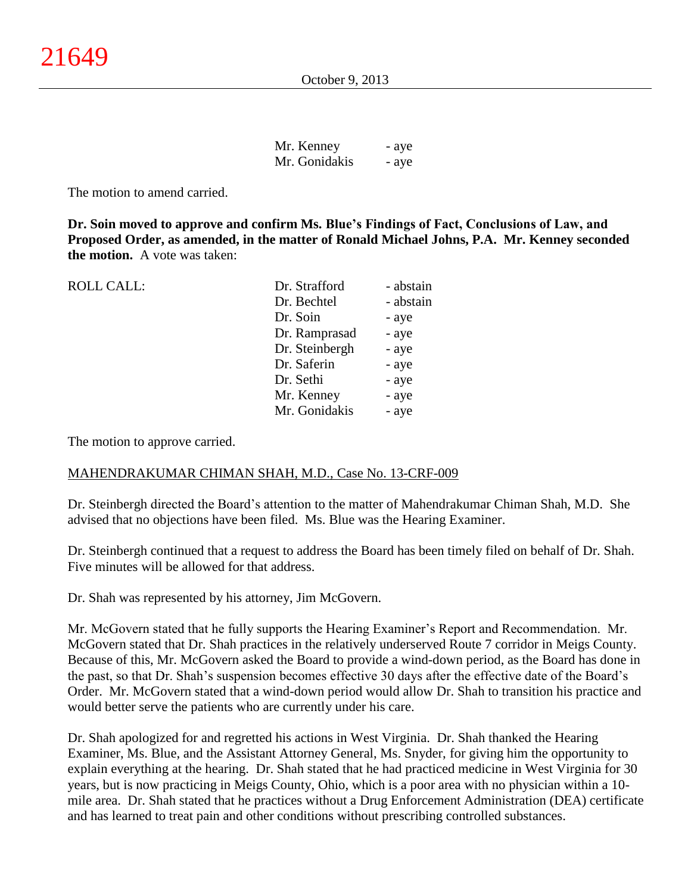| Mr. Kenney    | - aye |
|---------------|-------|
| Mr. Gonidakis | - aye |

The motion to amend carried.

**Dr. Soin moved to approve and confirm Ms. Blue's Findings of Fact, Conclusions of Law, and Proposed Order, as amended, in the matter of Ronald Michael Johns, P.A. Mr. Kenney seconded the motion.** A vote was taken:

ROLL CALL:

| Dr. Strafford  | - abstain |
|----------------|-----------|
| Dr. Bechtel    | - abstain |
| Dr. Soin       | - aye     |
| Dr. Ramprasad  | - aye     |
| Dr. Steinbergh | - aye     |
| Dr. Saferin    | - aye     |
| Dr. Sethi      | - aye     |
| Mr. Kenney     | - aye     |
| Mr. Gonidakis  | - aye     |
|                |           |

The motion to approve carried.

### MAHENDRAKUMAR CHIMAN SHAH, M.D., Case No. 13-CRF-009

Dr. Steinbergh directed the Board's attention to the matter of Mahendrakumar Chiman Shah, M.D. She advised that no objections have been filed. Ms. Blue was the Hearing Examiner.

Dr. Steinbergh continued that a request to address the Board has been timely filed on behalf of Dr. Shah. Five minutes will be allowed for that address.

Dr. Shah was represented by his attorney, Jim McGovern.

Mr. McGovern stated that he fully supports the Hearing Examiner's Report and Recommendation. Mr. McGovern stated that Dr. Shah practices in the relatively underserved Route 7 corridor in Meigs County. Because of this, Mr. McGovern asked the Board to provide a wind-down period, as the Board has done in the past, so that Dr. Shah's suspension becomes effective 30 days after the effective date of the Board's Order. Mr. McGovern stated that a wind-down period would allow Dr. Shah to transition his practice and would better serve the patients who are currently under his care.

Dr. Shah apologized for and regretted his actions in West Virginia. Dr. Shah thanked the Hearing Examiner, Ms. Blue, and the Assistant Attorney General, Ms. Snyder, for giving him the opportunity to explain everything at the hearing. Dr. Shah stated that he had practiced medicine in West Virginia for 30 years, but is now practicing in Meigs County, Ohio, which is a poor area with no physician within a 10 mile area. Dr. Shah stated that he practices without a Drug Enforcement Administration (DEA) certificate and has learned to treat pain and other conditions without prescribing controlled substances.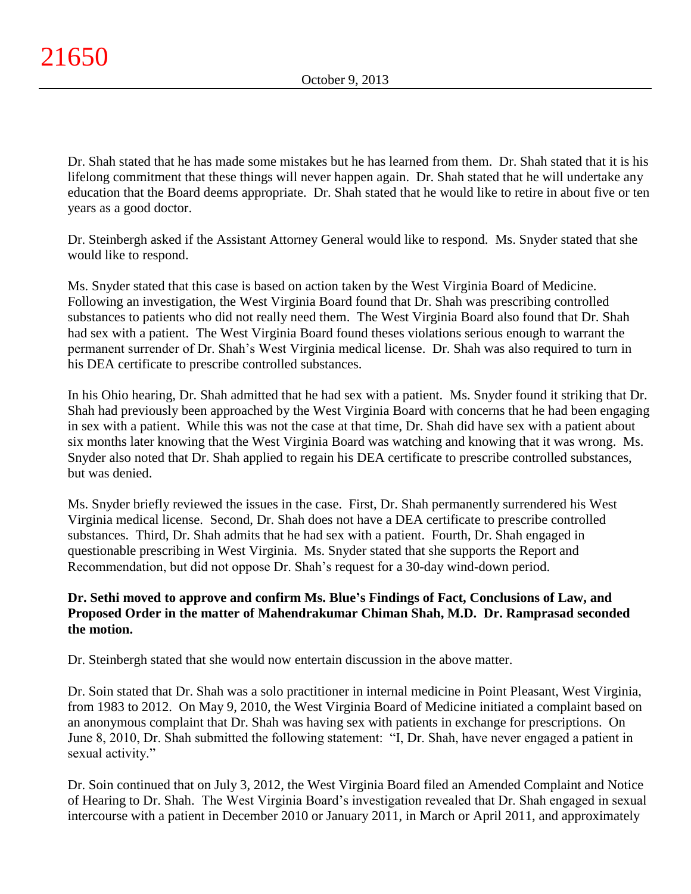Dr. Shah stated that he has made some mistakes but he has learned from them. Dr. Shah stated that it is his lifelong commitment that these things will never happen again. Dr. Shah stated that he will undertake any education that the Board deems appropriate. Dr. Shah stated that he would like to retire in about five or ten years as a good doctor.

Dr. Steinbergh asked if the Assistant Attorney General would like to respond. Ms. Snyder stated that she would like to respond.

Ms. Snyder stated that this case is based on action taken by the West Virginia Board of Medicine. Following an investigation, the West Virginia Board found that Dr. Shah was prescribing controlled substances to patients who did not really need them. The West Virginia Board also found that Dr. Shah had sex with a patient. The West Virginia Board found theses violations serious enough to warrant the permanent surrender of Dr. Shah's West Virginia medical license. Dr. Shah was also required to turn in his DEA certificate to prescribe controlled substances.

In his Ohio hearing, Dr. Shah admitted that he had sex with a patient. Ms. Snyder found it striking that Dr. Shah had previously been approached by the West Virginia Board with concerns that he had been engaging in sex with a patient. While this was not the case at that time, Dr. Shah did have sex with a patient about six months later knowing that the West Virginia Board was watching and knowing that it was wrong. Ms. Snyder also noted that Dr. Shah applied to regain his DEA certificate to prescribe controlled substances, but was denied.

Ms. Snyder briefly reviewed the issues in the case. First, Dr. Shah permanently surrendered his West Virginia medical license. Second, Dr. Shah does not have a DEA certificate to prescribe controlled substances. Third, Dr. Shah admits that he had sex with a patient. Fourth, Dr. Shah engaged in questionable prescribing in West Virginia. Ms. Snyder stated that she supports the Report and Recommendation, but did not oppose Dr. Shah's request for a 30-day wind-down period.

# **Dr. Sethi moved to approve and confirm Ms. Blue's Findings of Fact, Conclusions of Law, and Proposed Order in the matter of Mahendrakumar Chiman Shah, M.D. Dr. Ramprasad seconded the motion.**

Dr. Steinbergh stated that she would now entertain discussion in the above matter.

Dr. Soin stated that Dr. Shah was a solo practitioner in internal medicine in Point Pleasant, West Virginia, from 1983 to 2012. On May 9, 2010, the West Virginia Board of Medicine initiated a complaint based on an anonymous complaint that Dr. Shah was having sex with patients in exchange for prescriptions. On June 8, 2010, Dr. Shah submitted the following statement: "I, Dr. Shah, have never engaged a patient in sexual activity."

Dr. Soin continued that on July 3, 2012, the West Virginia Board filed an Amended Complaint and Notice of Hearing to Dr. Shah. The West Virginia Board's investigation revealed that Dr. Shah engaged in sexual intercourse with a patient in December 2010 or January 2011, in March or April 2011, and approximately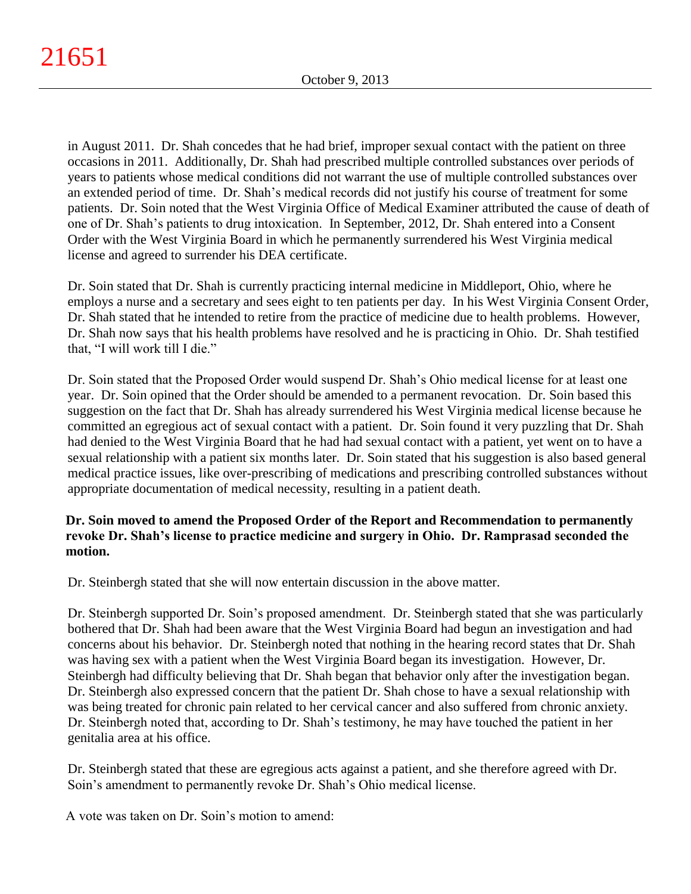in August 2011. Dr. Shah concedes that he had brief, improper sexual contact with the patient on three occasions in 2011. Additionally, Dr. Shah had prescribed multiple controlled substances over periods of years to patients whose medical conditions did not warrant the use of multiple controlled substances over an extended period of time. Dr. Shah's medical records did not justify his course of treatment for some patients. Dr. Soin noted that the West Virginia Office of Medical Examiner attributed the cause of death of one of Dr. Shah's patients to drug intoxication. In September, 2012, Dr. Shah entered into a Consent Order with the West Virginia Board in which he permanently surrendered his West Virginia medical license and agreed to surrender his DEA certificate.

Dr. Soin stated that Dr. Shah is currently practicing internal medicine in Middleport, Ohio, where he employs a nurse and a secretary and sees eight to ten patients per day. In his West Virginia Consent Order, Dr. Shah stated that he intended to retire from the practice of medicine due to health problems. However, Dr. Shah now says that his health problems have resolved and he is practicing in Ohio. Dr. Shah testified that, "I will work till I die."

Dr. Soin stated that the Proposed Order would suspend Dr. Shah's Ohio medical license for at least one year. Dr. Soin opined that the Order should be amended to a permanent revocation. Dr. Soin based this suggestion on the fact that Dr. Shah has already surrendered his West Virginia medical license because he committed an egregious act of sexual contact with a patient. Dr. Soin found it very puzzling that Dr. Shah had denied to the West Virginia Board that he had had sexual contact with a patient, yet went on to have a sexual relationship with a patient six months later. Dr. Soin stated that his suggestion is also based general medical practice issues, like over-prescribing of medications and prescribing controlled substances without appropriate documentation of medical necessity, resulting in a patient death.

## **Dr. Soin moved to amend the Proposed Order of the Report and Recommendation to permanently revoke Dr. Shah's license to practice medicine and surgery in Ohio. Dr. Ramprasad seconded the motion.**

Dr. Steinbergh stated that she will now entertain discussion in the above matter.

Dr. Steinbergh supported Dr. Soin's proposed amendment. Dr. Steinbergh stated that she was particularly bothered that Dr. Shah had been aware that the West Virginia Board had begun an investigation and had concerns about his behavior. Dr. Steinbergh noted that nothing in the hearing record states that Dr. Shah was having sex with a patient when the West Virginia Board began its investigation. However, Dr. Steinbergh had difficulty believing that Dr. Shah began that behavior only after the investigation began. Dr. Steinbergh also expressed concern that the patient Dr. Shah chose to have a sexual relationship with was being treated for chronic pain related to her cervical cancer and also suffered from chronic anxiety. Dr. Steinbergh noted that, according to Dr. Shah's testimony, he may have touched the patient in her genitalia area at his office.

Dr. Steinbergh stated that these are egregious acts against a patient, and she therefore agreed with Dr. Soin's amendment to permanently revoke Dr. Shah's Ohio medical license.

A vote was taken on Dr. Soin's motion to amend: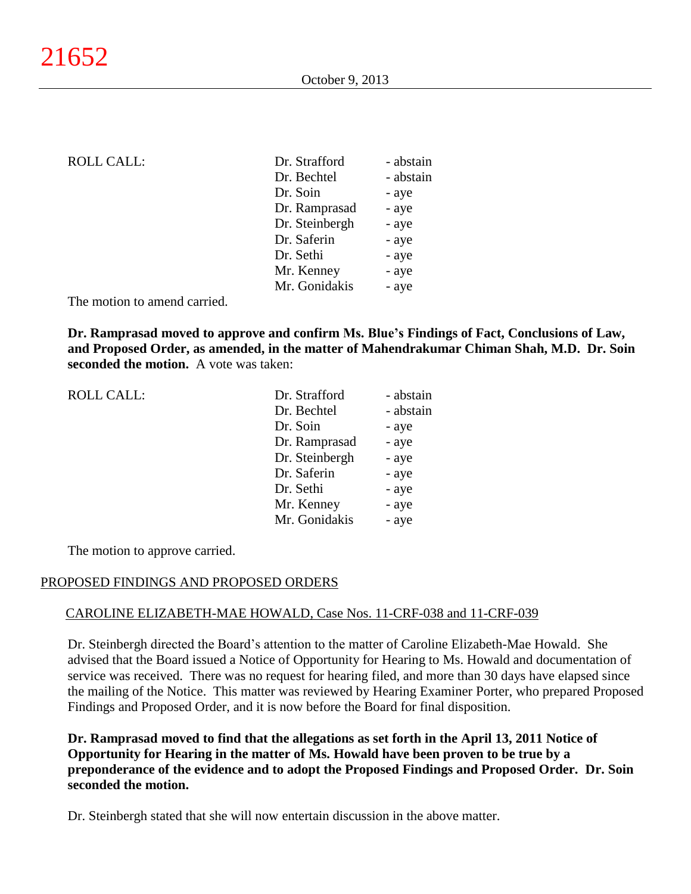| <b>ROLL CALL:</b> | Dr. Strafford  | - abstain |
|-------------------|----------------|-----------|
|                   | Dr. Bechtel    | - abstain |
|                   | Dr. Soin       | - aye     |
|                   | Dr. Ramprasad  | - aye     |
|                   | Dr. Steinbergh | - aye     |
|                   | Dr. Saferin    | - aye     |
|                   | Dr. Sethi      | - aye     |
|                   | Mr. Kenney     | - aye     |
|                   | Mr. Gonidakis  | - aye     |
|                   |                |           |

The motion to amend carried.

**Dr. Ramprasad moved to approve and confirm Ms. Blue's Findings of Fact, Conclusions of Law, and Proposed Order, as amended, in the matter of Mahendrakumar Chiman Shah, M.D. Dr. Soin seconded the motion.** A vote was taken:

| <b>ROLL CALL:</b> | Dr. Strafford  | - abstain |
|-------------------|----------------|-----------|
|                   | Dr. Bechtel    | - abstain |
|                   | Dr. Soin       | - aye     |
|                   | Dr. Ramprasad  | - aye     |
|                   | Dr. Steinbergh | - aye     |
|                   | Dr. Saferin    | - aye     |
|                   | Dr. Sethi      | - aye     |
|                   | Mr. Kenney     | - aye     |
|                   | Mr. Gonidakis  | - aye     |
|                   |                |           |

The motion to approve carried.

### PROPOSED FINDINGS AND PROPOSED ORDERS

### CAROLINE ELIZABETH-MAE HOWALD, Case Nos. 11-CRF-038 and 11-CRF-039

Dr. Steinbergh directed the Board's attention to the matter of Caroline Elizabeth-Mae Howald. She advised that the Board issued a Notice of Opportunity for Hearing to Ms. Howald and documentation of service was received. There was no request for hearing filed, and more than 30 days have elapsed since the mailing of the Notice. This matter was reviewed by Hearing Examiner Porter, who prepared Proposed Findings and Proposed Order, and it is now before the Board for final disposition.

**Dr. Ramprasad moved to find that the allegations as set forth in the April 13, 2011 Notice of Opportunity for Hearing in the matter of Ms. Howald have been proven to be true by a preponderance of the evidence and to adopt the Proposed Findings and Proposed Order. Dr. Soin seconded the motion.**

Dr. Steinbergh stated that she will now entertain discussion in the above matter.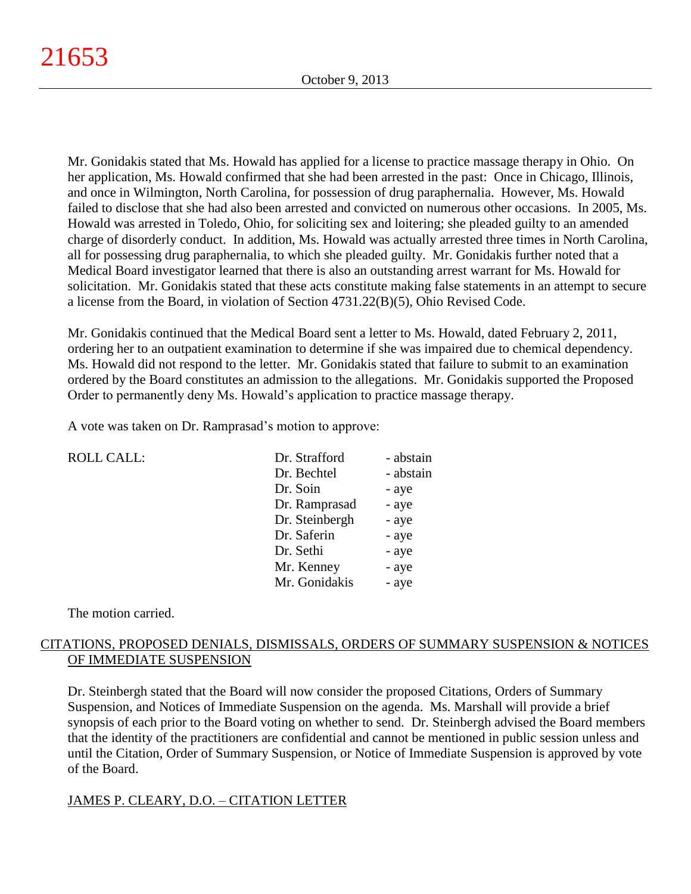Mr. Gonidakis stated that Ms. Howald has applied for a license to practice massage therapy in Ohio. On her application, Ms. Howald confirmed that she had been arrested in the past: Once in Chicago, Illinois, and once in Wilmington, North Carolina, for possession of drug paraphernalia. However, Ms. Howald failed to disclose that she had also been arrested and convicted on numerous other occasions. In 2005, Ms. Howald was arrested in Toledo, Ohio, for soliciting sex and loitering; she pleaded guilty to an amended charge of disorderly conduct. In addition, Ms. Howald was actually arrested three times in North Carolina, all for possessing drug paraphernalia, to which she pleaded guilty. Mr. Gonidakis further noted that a Medical Board investigator learned that there is also an outstanding arrest warrant for Ms. Howald for solicitation. Mr. Gonidakis stated that these acts constitute making false statements in an attempt to secure a license from the Board, in violation of Section 4731.22(B)(5), Ohio Revised Code.

Mr. Gonidakis continued that the Medical Board sent a letter to Ms. Howald, dated February 2, 2011, ordering her to an outpatient examination to determine if she was impaired due to chemical dependency. Ms. Howald did not respond to the letter. Mr. Gonidakis stated that failure to submit to an examination ordered by the Board constitutes an admission to the allegations. Mr. Gonidakis supported the Proposed Order to permanently deny Ms. Howald's application to practice massage therapy.

A vote was taken on Dr. Ramprasad's motion to approve:

| <b>ROLL CALL:</b> | Dr. Strafford  | - abstain |
|-------------------|----------------|-----------|
|                   | Dr. Bechtel    | - abstain |
|                   | Dr. Soin       | - aye     |
|                   | Dr. Ramprasad  | - aye     |
|                   | Dr. Steinbergh | - aye     |
|                   | Dr. Saferin    | - aye     |
|                   | Dr. Sethi      | - aye     |
|                   | Mr. Kenney     | - aye     |
|                   | Mr. Gonidakis  | - aye     |
|                   |                |           |

The motion carried.

# CITATIONS, PROPOSED DENIALS, DISMISSALS, ORDERS OF SUMMARY SUSPENSION & NOTICES OF IMMEDIATE SUSPENSION

Dr. Steinbergh stated that the Board will now consider the proposed Citations, Orders of Summary Suspension, and Notices of Immediate Suspension on the agenda. Ms. Marshall will provide a brief synopsis of each prior to the Board voting on whether to send. Dr. Steinbergh advised the Board members that the identity of the practitioners are confidential and cannot be mentioned in public session unless and until the Citation, Order of Summary Suspension, or Notice of Immediate Suspension is approved by vote of the Board.

# JAMES P. CLEARY, D.O. – CITATION LETTER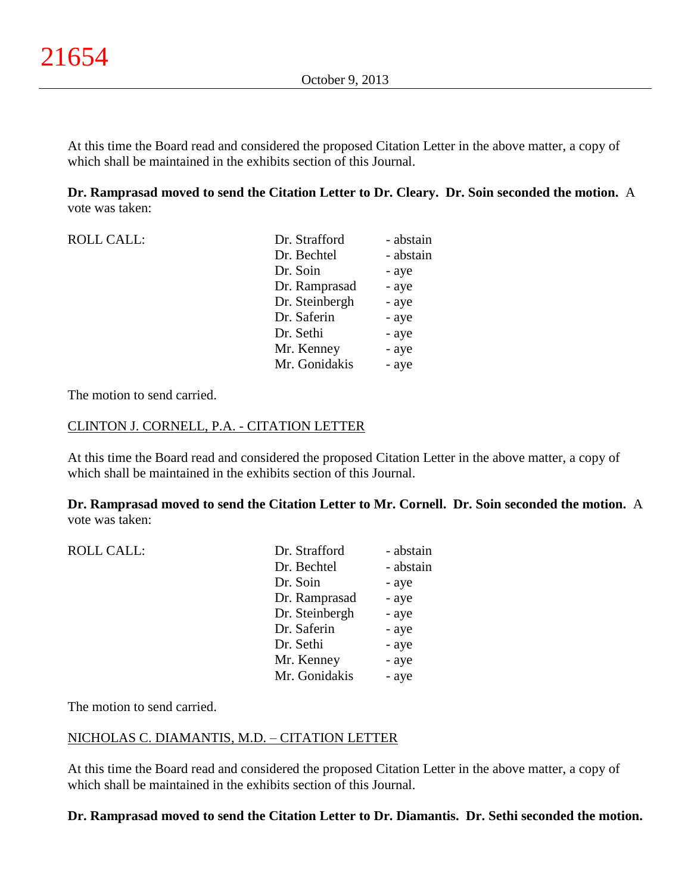At this time the Board read and considered the proposed Citation Letter in the above matter, a copy of which shall be maintained in the exhibits section of this Journal.

**Dr. Ramprasad moved to send the Citation Letter to Dr. Cleary. Dr. Soin seconded the motion.** A vote was taken:

| <b>ROLL CALL:</b> | Dr. Strafford  | - abstain |
|-------------------|----------------|-----------|
|                   | Dr. Bechtel    | - abstain |
|                   | Dr. Soin       | - aye     |
|                   | Dr. Ramprasad  | - aye     |
|                   | Dr. Steinbergh | - aye     |
|                   | Dr. Saferin    | - aye     |
|                   | Dr. Sethi      | - aye     |
|                   | Mr. Kenney     | - aye     |
|                   | Mr. Gonidakis  | - aye     |

The motion to send carried.

### CLINTON J. CORNELL, P.A. - CITATION LETTER

At this time the Board read and considered the proposed Citation Letter in the above matter, a copy of which shall be maintained in the exhibits section of this Journal.

**Dr. Ramprasad moved to send the Citation Letter to Mr. Cornell. Dr. Soin seconded the motion.** A vote was taken:

| <b>ROLL CALL:</b> | Dr. Strafford  | - abstain |
|-------------------|----------------|-----------|
|                   | Dr. Bechtel    | - abstain |
|                   | Dr. Soin       | - aye     |
|                   | Dr. Ramprasad  | - aye     |
|                   | Dr. Steinbergh | - aye     |
|                   | Dr. Saferin    | - aye     |
|                   | Dr. Sethi      | - aye     |
|                   | Mr. Kenney     | - aye     |
|                   | Mr. Gonidakis  | - aye     |
|                   |                |           |

The motion to send carried.

### NICHOLAS C. DIAMANTIS, M.D. – CITATION LETTER

At this time the Board read and considered the proposed Citation Letter in the above matter, a copy of which shall be maintained in the exhibits section of this Journal.

# **Dr. Ramprasad moved to send the Citation Letter to Dr. Diamantis. Dr. Sethi seconded the motion.**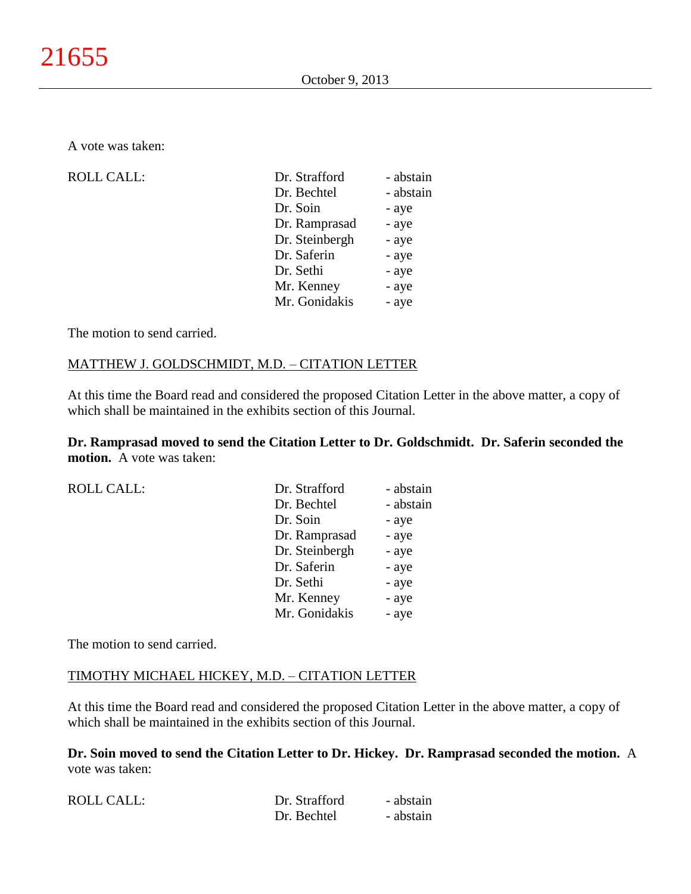A vote was taken:

| <b>ROLL CALL:</b> | Dr. Strafford  | - abstain |
|-------------------|----------------|-----------|
|                   | Dr. Bechtel    | - abstain |
|                   | Dr. Soin       | - aye     |
|                   | Dr. Ramprasad  | - aye     |
|                   | Dr. Steinbergh | - aye     |
|                   | Dr. Saferin    | - aye     |
|                   | Dr. Sethi      | - aye     |
|                   | Mr. Kenney     | - aye     |
|                   | Mr. Gonidakis  | - aye     |
|                   |                |           |

The motion to send carried.

## MATTHEW J. GOLDSCHMIDT, M.D. – CITATION LETTER

At this time the Board read and considered the proposed Citation Letter in the above matter, a copy of which shall be maintained in the exhibits section of this Journal.

**Dr. Ramprasad moved to send the Citation Letter to Dr. Goldschmidt. Dr. Saferin seconded the motion.** A vote was taken:

| <b>ROLL CALL:</b> | Dr. Strafford  | - abstain |
|-------------------|----------------|-----------|
|                   | Dr. Bechtel    | - abstain |
|                   | Dr. Soin       | - aye     |
|                   | Dr. Ramprasad  | - aye     |
|                   | Dr. Steinbergh | - aye     |
|                   | Dr. Saferin    | - aye     |
|                   | Dr. Sethi      | - aye     |
|                   | Mr. Kenney     | - aye     |
|                   | Mr. Gonidakis  | - aye     |
|                   |                |           |

The motion to send carried.

### TIMOTHY MICHAEL HICKEY, M.D. – CITATION LETTER

At this time the Board read and considered the proposed Citation Letter in the above matter, a copy of which shall be maintained in the exhibits section of this Journal.

**Dr. Soin moved to send the Citation Letter to Dr. Hickey. Dr. Ramprasad seconded the motion.** A vote was taken:

| <b>ROLL CALL:</b> | Dr. Strafford | - abstain |
|-------------------|---------------|-----------|
|                   | Dr. Bechtel   | - abstain |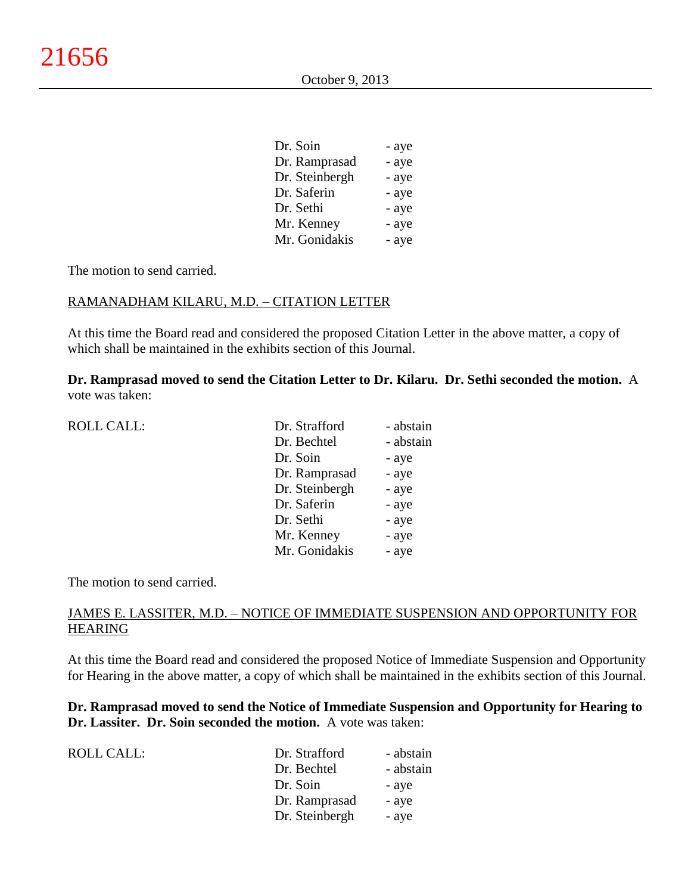| Dr. Soin       | - aye |
|----------------|-------|
| Dr. Ramprasad  | - aye |
| Dr. Steinbergh | - aye |
| Dr. Saferin    | - aye |
| Dr. Sethi      | - aye |
| Mr. Kenney     | - aye |
| Mr. Gonidakis  | - aye |

The motion to send carried.

### RAMANADHAM KILARU, M.D. – CITATION LETTER

At this time the Board read and considered the proposed Citation Letter in the above matter, a copy of which shall be maintained in the exhibits section of this Journal.

**Dr. Ramprasad moved to send the Citation Letter to Dr. Kilaru. Dr. Sethi seconded the motion.** A vote was taken:

| <b>ROLL CALL:</b> | Dr. Strafford  | - abstain |
|-------------------|----------------|-----------|
|                   | Dr. Bechtel    | - abstain |
|                   | Dr. Soin       | - aye     |
|                   | Dr. Ramprasad  | - aye     |
|                   | Dr. Steinbergh | - aye     |
|                   | Dr. Saferin    | - aye     |
|                   | Dr. Sethi      | - aye     |
|                   | Mr. Kenney     | - aye     |
|                   | Mr. Gonidakis  | - aye     |
|                   |                |           |

The motion to send carried.

### JAMES E. LASSITER, M.D. – NOTICE OF IMMEDIATE SUSPENSION AND OPPORTUNITY FOR HEARING

At this time the Board read and considered the proposed Notice of Immediate Suspension and Opportunity for Hearing in the above matter, a copy of which shall be maintained in the exhibits section of this Journal.

**Dr. Ramprasad moved to send the Notice of Immediate Suspension and Opportunity for Hearing to Dr. Lassiter. Dr. Soin seconded the motion.** A vote was taken:

| - abstain |
|-----------|
| - abstain |
| - aye     |
| - aye     |
| - aye     |
|           |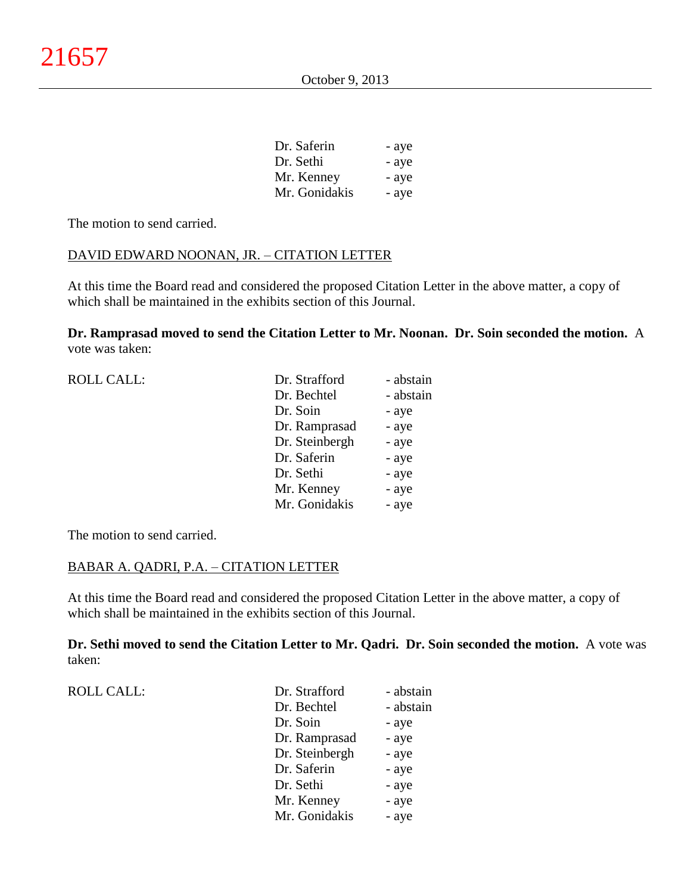| Dr. Saferin   | - aye |
|---------------|-------|
| Dr. Sethi     | - aye |
| Mr. Kenney    | - aye |
| Mr. Gonidakis | - aye |

The motion to send carried.

## DAVID EDWARD NOONAN, JR. – CITATION LETTER

At this time the Board read and considered the proposed Citation Letter in the above matter, a copy of which shall be maintained in the exhibits section of this Journal.

**Dr. Ramprasad moved to send the Citation Letter to Mr. Noonan. Dr. Soin seconded the motion.** A vote was taken:

| <b>ROLL CALL:</b> | Dr. Strafford  | - abstain |
|-------------------|----------------|-----------|
|                   | Dr. Bechtel    | - abstain |
|                   | Dr. Soin       | - aye     |
|                   | Dr. Ramprasad  | - aye     |
|                   | Dr. Steinbergh | - aye     |
|                   | Dr. Saferin    | - aye     |
|                   | Dr. Sethi      | - aye     |
|                   | Mr. Kenney     | - aye     |
|                   | Mr. Gonidakis  | - aye     |
|                   |                |           |

The motion to send carried.

## BABAR A. QADRI, P.A. – CITATION LETTER

At this time the Board read and considered the proposed Citation Letter in the above matter, a copy of which shall be maintained in the exhibits section of this Journal.

**Dr. Sethi moved to send the Citation Letter to Mr. Qadri. Dr. Soin seconded the motion.** A vote was taken:

| <b>ROLL CALL:</b> | Dr. Strafford  | - abstain |
|-------------------|----------------|-----------|
|                   | Dr. Bechtel    | - abstain |
|                   | Dr. Soin       | - aye     |
|                   | Dr. Ramprasad  | - aye     |
|                   | Dr. Steinbergh | - aye     |
|                   | Dr. Saferin    | - aye     |
|                   | Dr. Sethi      | - aye     |
|                   | Mr. Kenney     | - aye     |
|                   | Mr. Gonidakis  | - aye     |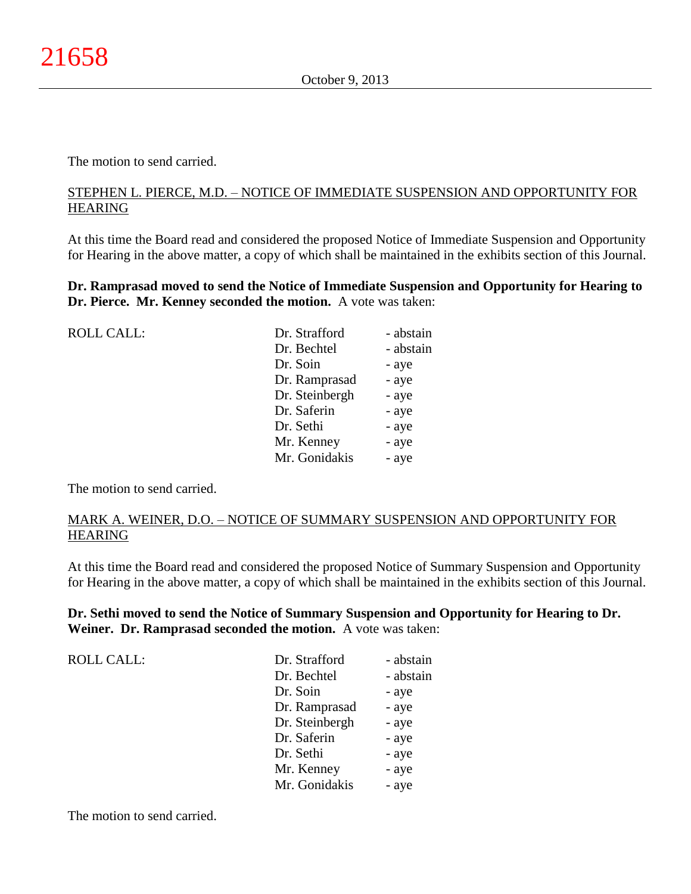The motion to send carried.

### STEPHEN L. PIERCE, M.D. – NOTICE OF IMMEDIATE SUSPENSION AND OPPORTUNITY FOR HEARING

At this time the Board read and considered the proposed Notice of Immediate Suspension and Opportunity for Hearing in the above matter, a copy of which shall be maintained in the exhibits section of this Journal.

**Dr. Ramprasad moved to send the Notice of Immediate Suspension and Opportunity for Hearing to Dr. Pierce. Mr. Kenney seconded the motion.** A vote was taken:

| <b>ROLL CALL:</b> | Dr. Strafford  | - abstain |
|-------------------|----------------|-----------|
|                   | Dr. Bechtel    | - abstain |
|                   | Dr. Soin       | - aye     |
|                   | Dr. Ramprasad  | - aye     |
|                   | Dr. Steinbergh | - aye     |
|                   | Dr. Saferin    | - aye     |
|                   | Dr. Sethi      | - aye     |
|                   | Mr. Kenney     | - aye     |
|                   | Mr. Gonidakis  | - aye     |
|                   |                |           |

The motion to send carried.

## MARK A. WEINER, D.O. – NOTICE OF SUMMARY SUSPENSION AND OPPORTUNITY FOR HEARING

At this time the Board read and considered the proposed Notice of Summary Suspension and Opportunity for Hearing in the above matter, a copy of which shall be maintained in the exhibits section of this Journal.

## **Dr. Sethi moved to send the Notice of Summary Suspension and Opportunity for Hearing to Dr. Weiner. Dr. Ramprasad seconded the motion.** A vote was taken:

| <b>ROLL CALL:</b> | Dr. Strafford  | - abstain |
|-------------------|----------------|-----------|
|                   | Dr. Bechtel    | - abstain |
|                   | Dr. Soin       | - aye     |
|                   | Dr. Ramprasad  | - aye     |
|                   | Dr. Steinbergh | - aye     |
|                   | Dr. Saferin    | - aye     |
|                   | Dr. Sethi      | - aye     |
|                   | Mr. Kenney     | - aye     |
|                   | Mr. Gonidakis  | - aye     |

The motion to send carried.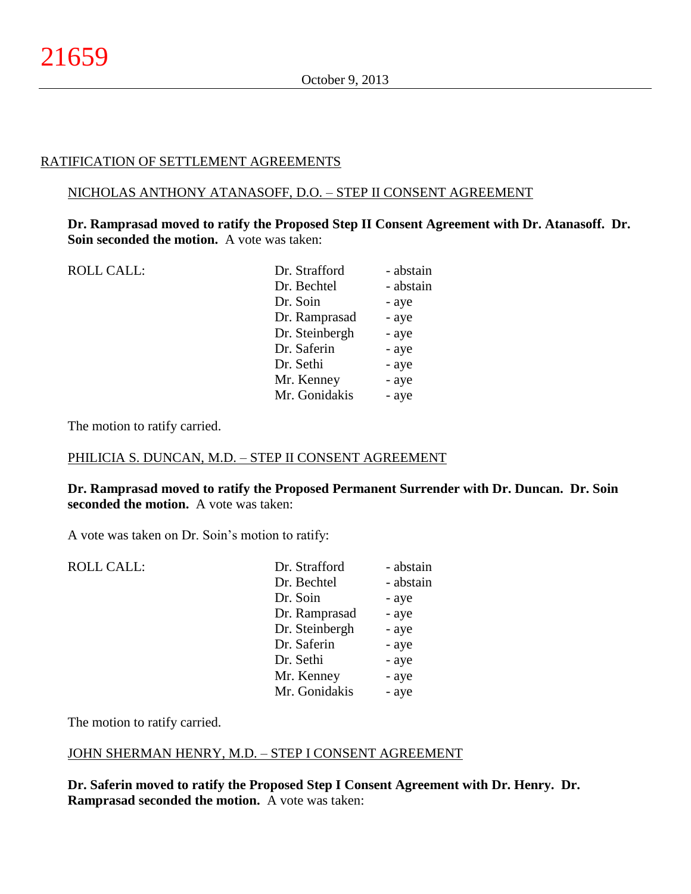# RATIFICATION OF SETTLEMENT AGREEMENTS

## NICHOLAS ANTHONY ATANASOFF, D.O. – STEP II CONSENT AGREEMENT

**Dr. Ramprasad moved to ratify the Proposed Step II Consent Agreement with Dr. Atanasoff. Dr. Soin seconded the motion.** A vote was taken:

| <b>ROLL CALL:</b> | Dr. Strafford  | - abstain |
|-------------------|----------------|-----------|
|                   | Dr. Bechtel    | - abstain |
|                   | Dr. Soin       | - aye     |
|                   | Dr. Ramprasad  | - aye     |
|                   | Dr. Steinbergh | - aye     |
|                   | Dr. Saferin    | - aye     |
|                   | Dr. Sethi      | - aye     |
|                   | Mr. Kenney     | - aye     |
|                   | Mr. Gonidakis  | - aye     |
|                   |                |           |

The motion to ratify carried.

## PHILICIA S. DUNCAN, M.D. – STEP II CONSENT AGREEMENT

**Dr. Ramprasad moved to ratify the Proposed Permanent Surrender with Dr. Duncan. Dr. Soin seconded the motion.** A vote was taken:

A vote was taken on Dr. Soin's motion to ratify:

| <b>ROLL CALL:</b> | Dr. Strafford  | - abstain |
|-------------------|----------------|-----------|
|                   | Dr. Bechtel    | - abstain |
|                   | Dr. Soin       | - aye     |
|                   | Dr. Ramprasad  | - aye     |
|                   | Dr. Steinbergh | - aye     |
|                   | Dr. Saferin    | - aye     |
|                   | Dr. Sethi      | - aye     |
|                   | Mr. Kenney     | - aye     |
|                   | Mr. Gonidakis  | - aye     |
|                   |                |           |

The motion to ratify carried.

## JOHN SHERMAN HENRY, M.D. – STEP I CONSENT AGREEMENT

**Dr. Saferin moved to ratify the Proposed Step I Consent Agreement with Dr. Henry. Dr. Ramprasad seconded the motion.** A vote was taken: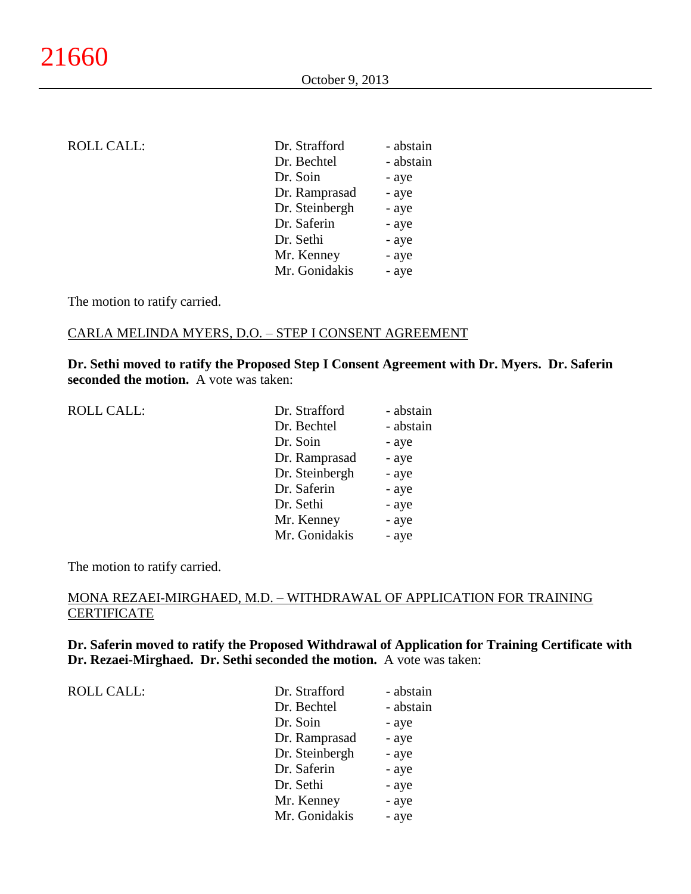| ROLL CALL: |  |  |
|------------|--|--|
|------------|--|--|

| Dr. Strafford  | - abstain |
|----------------|-----------|
| Dr. Bechtel    | - abstain |
| Dr. Soin       | - aye     |
| Dr. Ramprasad  | - aye     |
| Dr. Steinbergh | - aye     |
| Dr. Saferin    | - aye     |
| Dr. Sethi      | - aye     |
| Mr. Kenney     | - aye     |
| Mr. Gonidakis  | - aye     |
|                |           |

### CARLA MELINDA MYERS, D.O. – STEP I CONSENT AGREEMENT

**Dr. Sethi moved to ratify the Proposed Step I Consent Agreement with Dr. Myers. Dr. Saferin seconded the motion.** A vote was taken:

| <b>ROLL CALL:</b> | Dr. Strafford  | - abstain |
|-------------------|----------------|-----------|
|                   | Dr. Bechtel    | - abstain |
|                   | Dr. Soin       | - aye     |
|                   | Dr. Ramprasad  | - aye     |
|                   | Dr. Steinbergh | - aye     |
|                   | Dr. Saferin    | - aye     |
|                   | Dr. Sethi      | - aye     |
|                   | Mr. Kenney     | - aye     |
|                   | Mr. Gonidakis  | - aye     |

The motion to ratify carried.

# MONA REZAEI-MIRGHAED, M.D. – WITHDRAWAL OF APPLICATION FOR TRAINING **CERTIFICATE**

**Dr. Saferin moved to ratify the Proposed Withdrawal of Application for Training Certificate with Dr. Rezaei-Mirghaed. Dr. Sethi seconded the motion.** A vote was taken:

| <b>ROLL CALL:</b> | Dr. Strafford  | - abstain |
|-------------------|----------------|-----------|
|                   | Dr. Bechtel    | - abstain |
|                   | Dr. Soin       | - aye     |
|                   | Dr. Ramprasad  | - aye     |
|                   | Dr. Steinbergh | - aye     |
|                   | Dr. Saferin    | - aye     |
|                   | Dr. Sethi      | - aye     |
|                   | Mr. Kenney     | - aye     |
|                   | Mr. Gonidakis  | - aye     |
|                   |                |           |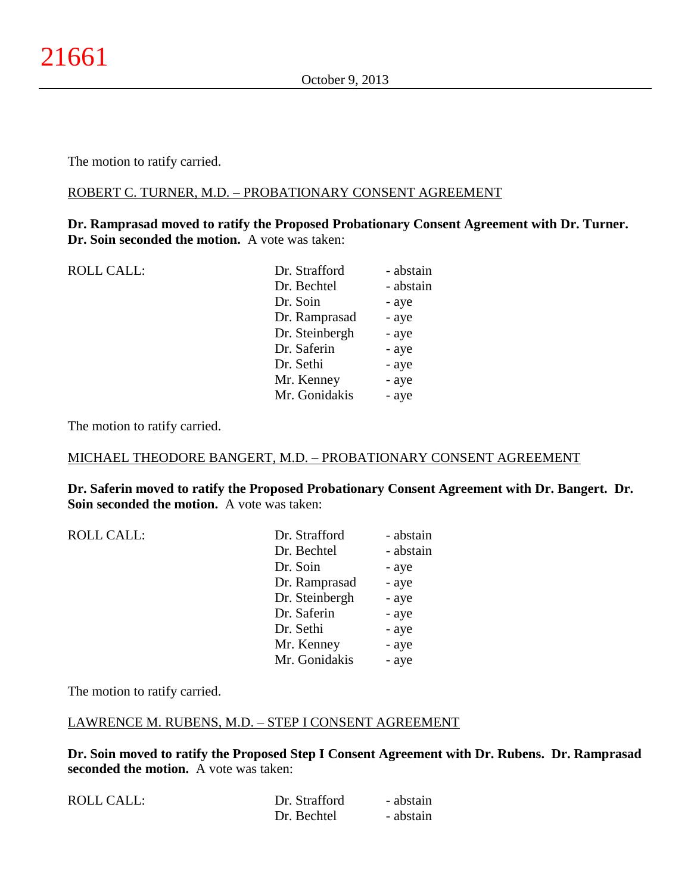### ROBERT C. TURNER, M.D. – PROBATIONARY CONSENT AGREEMENT

## **Dr. Ramprasad moved to ratify the Proposed Probationary Consent Agreement with Dr. Turner. Dr. Soin seconded the motion.** A vote was taken:

| <b>ROLL CALL:</b> | Dr. Strafford  | - abstain |
|-------------------|----------------|-----------|
|                   | Dr. Bechtel    | - abstain |
|                   | Dr. Soin       | - aye     |
|                   | Dr. Ramprasad  | - aye     |
|                   | Dr. Steinbergh | - aye     |
|                   | Dr. Saferin    | - aye     |
|                   | Dr. Sethi      | - aye     |
|                   | Mr. Kenney     | - aye     |
|                   | Mr. Gonidakis  | - aye     |
|                   |                |           |

The motion to ratify carried.

## MICHAEL THEODORE BANGERT, M.D. – PROBATIONARY CONSENT AGREEMENT

**Dr. Saferin moved to ratify the Proposed Probationary Consent Agreement with Dr. Bangert. Dr. Soin seconded the motion.** A vote was taken:

| Dr. Strafford  | - abstain |
|----------------|-----------|
| Dr. Bechtel    | - abstain |
| Dr. Soin       | - aye     |
| Dr. Ramprasad  | - aye     |
| Dr. Steinbergh | - aye     |
| Dr. Saferin    | - aye     |
| Dr. Sethi      | - aye     |
| Mr. Kenney     | - aye     |
| Mr. Gonidakis  | - aye     |
|                |           |

The motion to ratify carried.

## LAWRENCE M. RUBENS, M.D. – STEP I CONSENT AGREEMENT

**Dr. Soin moved to ratify the Proposed Step I Consent Agreement with Dr. Rubens. Dr. Ramprasad seconded the motion.** A vote was taken:

| ROLL CALL: | Dr. Strafford | - abstain |
|------------|---------------|-----------|
|            | Dr. Bechtel   | - abstain |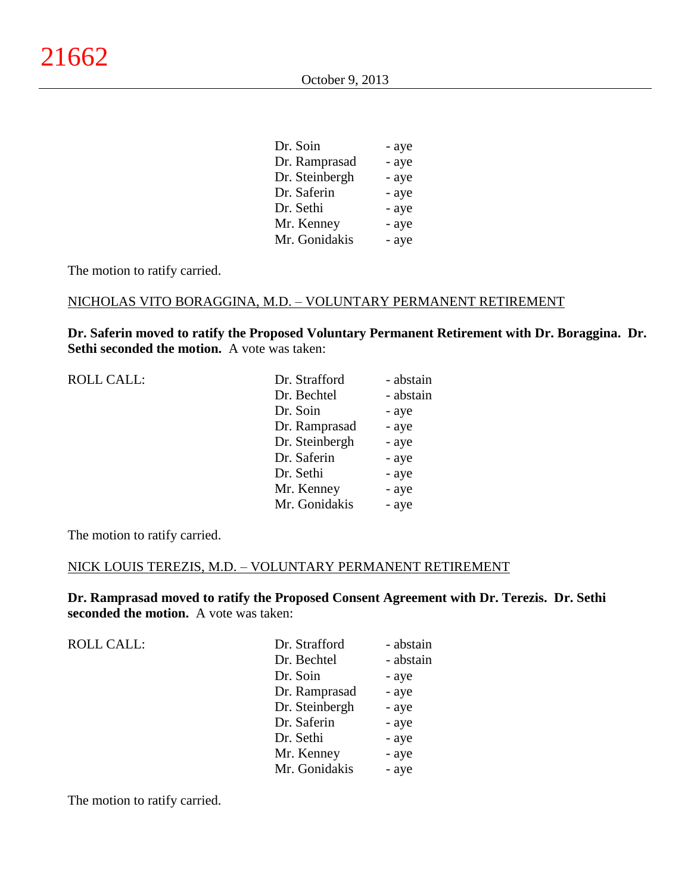| Dr. Soin       | - aye |
|----------------|-------|
| Dr. Ramprasad  | - aye |
| Dr. Steinbergh | - aye |
| Dr. Saferin    | - aye |
| Dr. Sethi      | - aye |
| Mr. Kenney     | - aye |
| Mr. Gonidakis  | - aye |

#### NICHOLAS VITO BORAGGINA, M.D. – VOLUNTARY PERMANENT RETIREMENT

**Dr. Saferin moved to ratify the Proposed Voluntary Permanent Retirement with Dr. Boraggina. Dr. Sethi seconded the motion.** A vote was taken:

ROLL CALL:

| <b>ROLL CALL:</b> | Dr. Strafford  | - abstain |
|-------------------|----------------|-----------|
|                   | Dr. Bechtel    | - abstain |
|                   | Dr. Soin       | - aye     |
|                   | Dr. Ramprasad  | - aye     |
|                   | Dr. Steinbergh | - aye     |
|                   | Dr. Saferin    | - aye     |
|                   | Dr. Sethi      | - aye     |
|                   | Mr. Kenney     | - aye     |
|                   | Mr. Gonidakis  | - aye     |
|                   |                |           |

The motion to ratify carried.

### NICK LOUIS TEREZIS, M.D. – VOLUNTARY PERMANENT RETIREMENT

**Dr. Ramprasad moved to ratify the Proposed Consent Agreement with Dr. Terezis. Dr. Sethi seconded the motion.** A vote was taken:

| Dr. Strafford  | - abstain |
|----------------|-----------|
| Dr. Bechtel    | - abstain |
| Dr. Soin       | - aye     |
| Dr. Ramprasad  | - aye     |
| Dr. Steinbergh | - aye     |
| Dr. Saferin    | - aye     |
| Dr. Sethi      | - aye     |
| Mr. Kenney     | - aye     |
| Mr. Gonidakis  | - aye     |

The motion to ratify carried.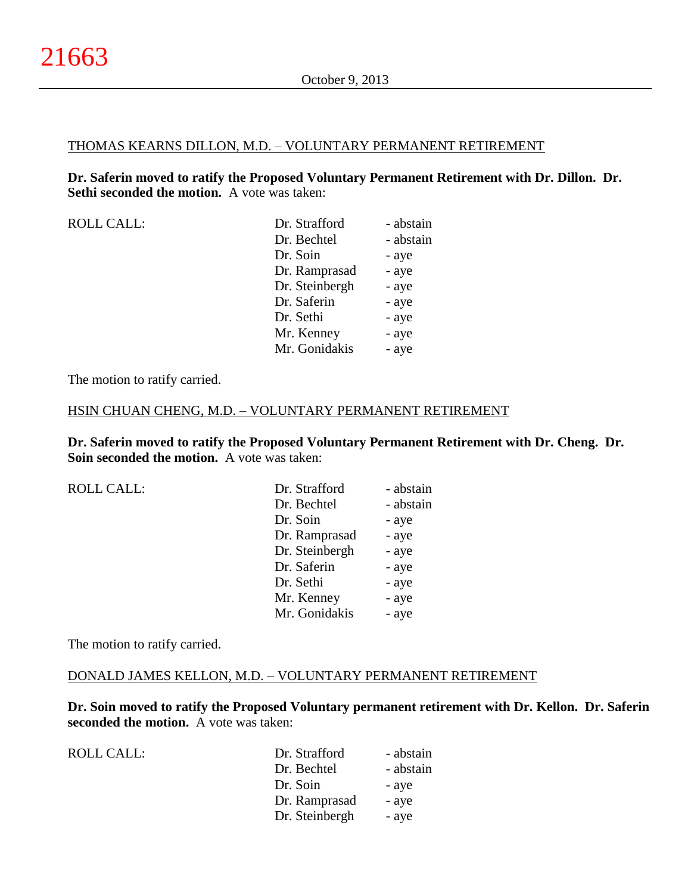#### THOMAS KEARNS DILLON, M.D. – VOLUNTARY PERMANENT RETIREMENT

**Dr. Saferin moved to ratify the Proposed Voluntary Permanent Retirement with Dr. Dillon. Dr. Sethi seconded the motion.** A vote was taken:

| ROLL CALL: | Dr. Strafford | - abstain |
|------------|---------------|-----------|
|            | Dr. Bechtel   | - abstain |
|            | Dr. Soin      | - aye     |
|            | Dr. Ramprasad | - ave     |

| Dr. Strafford  | - abstain |
|----------------|-----------|
| Dr. Bechtel    | - abstain |
| Dr. Soin       | - aye     |
| Dr. Ramprasad  | - aye     |
| Dr. Steinbergh | - aye     |
| Dr. Saferin    | - aye     |
| Dr. Sethi      | - aye     |
| Mr. Kenney     | - aye     |
| Mr. Gonidakis  | - aye     |
|                |           |

The motion to ratify carried.

#### HSIN CHUAN CHENG, M.D. – VOLUNTARY PERMANENT RETIREMENT

**Dr. Saferin moved to ratify the Proposed Voluntary Permanent Retirement with Dr. Cheng. Dr. Soin seconded the motion.** A vote was taken:

| <b>ROLL CALL:</b> | Dr. Strafford  | - abstain |
|-------------------|----------------|-----------|
|                   | Dr. Bechtel    | - abstain |
|                   | Dr. Soin       | - aye     |
|                   | Dr. Ramprasad  | - aye     |
|                   | Dr. Steinbergh | - aye     |
|                   | Dr. Saferin    | - aye     |
|                   | Dr. Sethi      | - aye     |
|                   | Mr. Kenney     | - aye     |
|                   | Mr. Gonidakis  | - aye     |
|                   |                |           |

The motion to ratify carried.

### DONALD JAMES KELLON, M.D. – VOLUNTARY PERMANENT RETIREMENT

**Dr. Soin moved to ratify the Proposed Voluntary permanent retirement with Dr. Kellon. Dr. Saferin seconded the motion.** A vote was taken:

ROLL CALL: Dr. Strafford - abstain Dr. Bechtel - abstain Dr. Soin - aye Dr. Ramprasad - aye Dr. Steinbergh - aye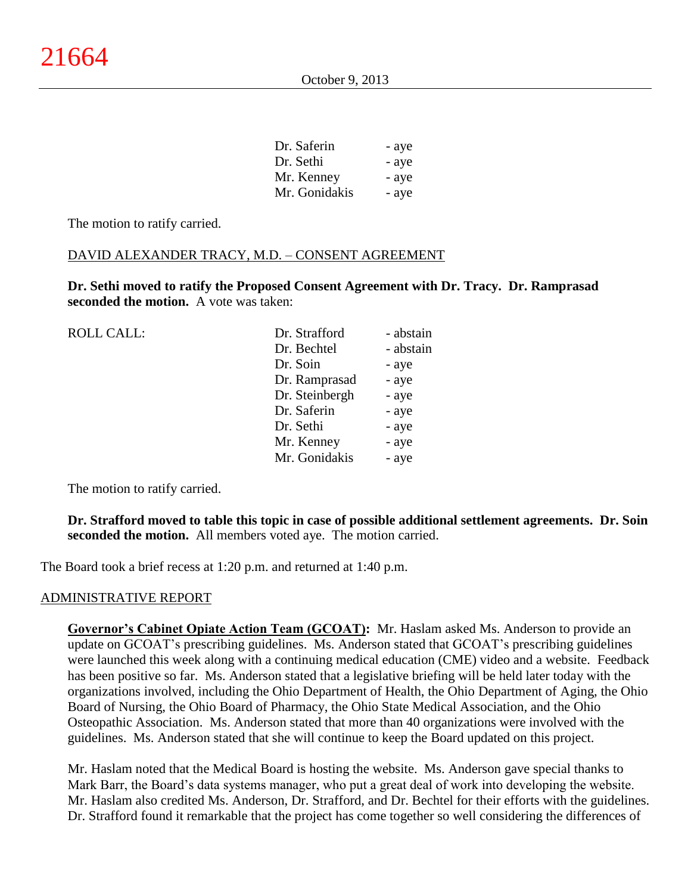| Dr. Saferin   | - aye |
|---------------|-------|
| Dr. Sethi     | - aye |
| Mr. Kenney    | - aye |
| Mr. Gonidakis | - aye |

## DAVID ALEXANDER TRACY, M.D. – CONSENT AGREEMENT

**Dr. Sethi moved to ratify the Proposed Consent Agreement with Dr. Tracy. Dr. Ramprasad seconded the motion.** A vote was taken:

| <b>ROLL CALL:</b> | Dr. Strafford  | - abstain |
|-------------------|----------------|-----------|
|                   | Dr. Bechtel    | - abstain |
|                   | Dr. Soin       | - aye     |
|                   | Dr. Ramprasad  | - aye     |
|                   | Dr. Steinbergh | - aye     |
|                   | Dr. Saferin    | - aye     |
|                   | Dr. Sethi      | - aye     |
|                   | Mr. Kenney     | - aye     |
|                   | Mr. Gonidakis  | - aye     |
|                   |                |           |

The motion to ratify carried.

## **Dr. Strafford moved to table this topic in case of possible additional settlement agreements. Dr. Soin seconded the motion.** All members voted aye. The motion carried.

The Board took a brief recess at 1:20 p.m. and returned at 1:40 p.m.

## ADMINISTRATIVE REPORT

**Governor's Cabinet Opiate Action Team (GCOAT):** Mr. Haslam asked Ms. Anderson to provide an update on GCOAT's prescribing guidelines. Ms. Anderson stated that GCOAT's prescribing guidelines were launched this week along with a continuing medical education (CME) video and a website. Feedback has been positive so far. Ms. Anderson stated that a legislative briefing will be held later today with the organizations involved, including the Ohio Department of Health, the Ohio Department of Aging, the Ohio Board of Nursing, the Ohio Board of Pharmacy, the Ohio State Medical Association, and the Ohio Osteopathic Association. Ms. Anderson stated that more than 40 organizations were involved with the guidelines. Ms. Anderson stated that she will continue to keep the Board updated on this project.

Mr. Haslam noted that the Medical Board is hosting the website. Ms. Anderson gave special thanks to Mark Barr, the Board's data systems manager, who put a great deal of work into developing the website. Mr. Haslam also credited Ms. Anderson, Dr. Strafford, and Dr. Bechtel for their efforts with the guidelines. Dr. Strafford found it remarkable that the project has come together so well considering the differences of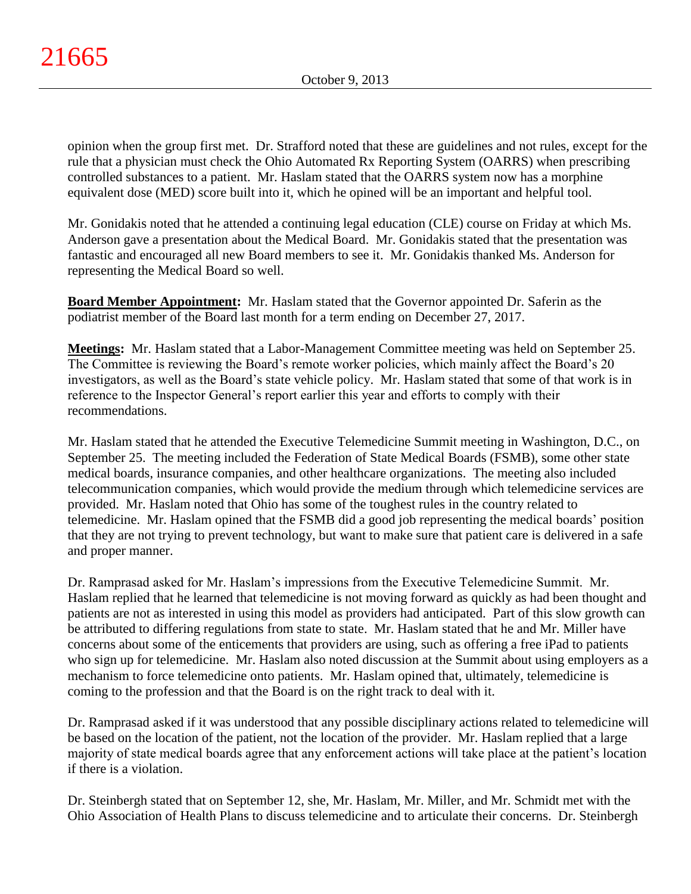opinion when the group first met. Dr. Strafford noted that these are guidelines and not rules, except for the rule that a physician must check the Ohio Automated Rx Reporting System (OARRS) when prescribing controlled substances to a patient. Mr. Haslam stated that the OARRS system now has a morphine equivalent dose (MED) score built into it, which he opined will be an important and helpful tool.

Mr. Gonidakis noted that he attended a continuing legal education (CLE) course on Friday at which Ms. Anderson gave a presentation about the Medical Board. Mr. Gonidakis stated that the presentation was fantastic and encouraged all new Board members to see it. Mr. Gonidakis thanked Ms. Anderson for representing the Medical Board so well.

**Board Member Appointment:** Mr. Haslam stated that the Governor appointed Dr. Saferin as the podiatrist member of the Board last month for a term ending on December 27, 2017.

**Meetings:** Mr. Haslam stated that a Labor-Management Committee meeting was held on September 25. The Committee is reviewing the Board's remote worker policies, which mainly affect the Board's 20 investigators, as well as the Board's state vehicle policy. Mr. Haslam stated that some of that work is in reference to the Inspector General's report earlier this year and efforts to comply with their recommendations.

Mr. Haslam stated that he attended the Executive Telemedicine Summit meeting in Washington, D.C., on September 25. The meeting included the Federation of State Medical Boards (FSMB), some other state medical boards, insurance companies, and other healthcare organizations. The meeting also included telecommunication companies, which would provide the medium through which telemedicine services are provided. Mr. Haslam noted that Ohio has some of the toughest rules in the country related to telemedicine. Mr. Haslam opined that the FSMB did a good job representing the medical boards' position that they are not trying to prevent technology, but want to make sure that patient care is delivered in a safe and proper manner.

Dr. Ramprasad asked for Mr. Haslam's impressions from the Executive Telemedicine Summit. Mr. Haslam replied that he learned that telemedicine is not moving forward as quickly as had been thought and patients are not as interested in using this model as providers had anticipated. Part of this slow growth can be attributed to differing regulations from state to state. Mr. Haslam stated that he and Mr. Miller have concerns about some of the enticements that providers are using, such as offering a free iPad to patients who sign up for telemedicine. Mr. Haslam also noted discussion at the Summit about using employers as a mechanism to force telemedicine onto patients. Mr. Haslam opined that, ultimately, telemedicine is coming to the profession and that the Board is on the right track to deal with it.

Dr. Ramprasad asked if it was understood that any possible disciplinary actions related to telemedicine will be based on the location of the patient, not the location of the provider. Mr. Haslam replied that a large majority of state medical boards agree that any enforcement actions will take place at the patient's location if there is a violation.

Dr. Steinbergh stated that on September 12, she, Mr. Haslam, Mr. Miller, and Mr. Schmidt met with the Ohio Association of Health Plans to discuss telemedicine and to articulate their concerns. Dr. Steinbergh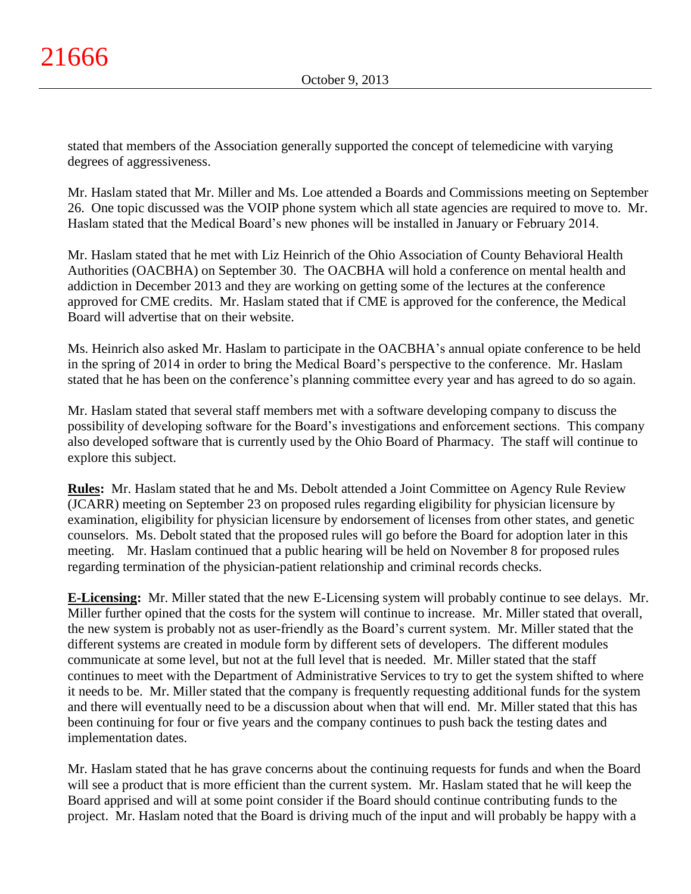stated that members of the Association generally supported the concept of telemedicine with varying degrees of aggressiveness.

Mr. Haslam stated that Mr. Miller and Ms. Loe attended a Boards and Commissions meeting on September 26. One topic discussed was the VOIP phone system which all state agencies are required to move to. Mr. Haslam stated that the Medical Board's new phones will be installed in January or February 2014.

Mr. Haslam stated that he met with Liz Heinrich of the Ohio Association of County Behavioral Health Authorities (OACBHA) on September 30. The OACBHA will hold a conference on mental health and addiction in December 2013 and they are working on getting some of the lectures at the conference approved for CME credits. Mr. Haslam stated that if CME is approved for the conference, the Medical Board will advertise that on their website.

Ms. Heinrich also asked Mr. Haslam to participate in the OACBHA's annual opiate conference to be held in the spring of 2014 in order to bring the Medical Board's perspective to the conference. Mr. Haslam stated that he has been on the conference's planning committee every year and has agreed to do so again.

Mr. Haslam stated that several staff members met with a software developing company to discuss the possibility of developing software for the Board's investigations and enforcement sections. This company also developed software that is currently used by the Ohio Board of Pharmacy. The staff will continue to explore this subject.

**Rules:** Mr. Haslam stated that he and Ms. Debolt attended a Joint Committee on Agency Rule Review (JCARR) meeting on September 23 on proposed rules regarding eligibility for physician licensure by examination, eligibility for physician licensure by endorsement of licenses from other states, and genetic counselors. Ms. Debolt stated that the proposed rules will go before the Board for adoption later in this meeting. Mr. Haslam continued that a public hearing will be held on November 8 for proposed rules regarding termination of the physician-patient relationship and criminal records checks.

**E-Licensing:** Mr. Miller stated that the new E-Licensing system will probably continue to see delays. Mr. Miller further opined that the costs for the system will continue to increase. Mr. Miller stated that overall, the new system is probably not as user-friendly as the Board's current system. Mr. Miller stated that the different systems are created in module form by different sets of developers. The different modules communicate at some level, but not at the full level that is needed. Mr. Miller stated that the staff continues to meet with the Department of Administrative Services to try to get the system shifted to where it needs to be. Mr. Miller stated that the company is frequently requesting additional funds for the system and there will eventually need to be a discussion about when that will end. Mr. Miller stated that this has been continuing for four or five years and the company continues to push back the testing dates and implementation dates.

Mr. Haslam stated that he has grave concerns about the continuing requests for funds and when the Board will see a product that is more efficient than the current system. Mr. Haslam stated that he will keep the Board apprised and will at some point consider if the Board should continue contributing funds to the project. Mr. Haslam noted that the Board is driving much of the input and will probably be happy with a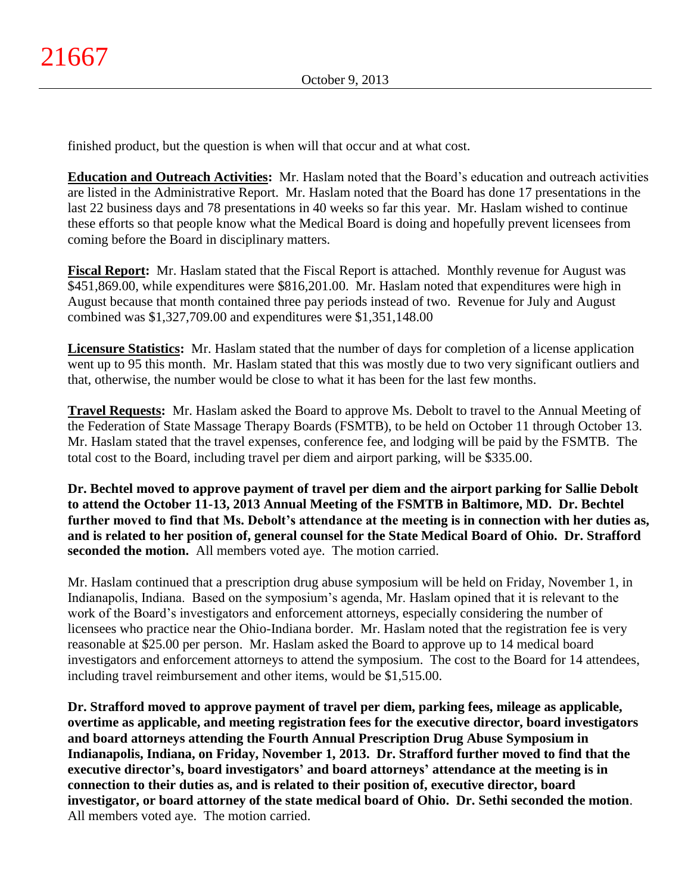finished product, but the question is when will that occur and at what cost.

**Education and Outreach Activities:** Mr. Haslam noted that the Board's education and outreach activities are listed in the Administrative Report. Mr. Haslam noted that the Board has done 17 presentations in the last 22 business days and 78 presentations in 40 weeks so far this year. Mr. Haslam wished to continue these efforts so that people know what the Medical Board is doing and hopefully prevent licensees from coming before the Board in disciplinary matters.

**Fiscal Report:** Mr. Haslam stated that the Fiscal Report is attached. Monthly revenue for August was \$451,869.00, while expenditures were \$816,201.00. Mr. Haslam noted that expenditures were high in August because that month contained three pay periods instead of two. Revenue for July and August combined was \$1,327,709.00 and expenditures were \$1,351,148.00

**Licensure Statistics:** Mr. Haslam stated that the number of days for completion of a license application went up to 95 this month. Mr. Haslam stated that this was mostly due to two very significant outliers and that, otherwise, the number would be close to what it has been for the last few months.

**Travel Requests:** Mr. Haslam asked the Board to approve Ms. Debolt to travel to the Annual Meeting of the Federation of State Massage Therapy Boards (FSMTB), to be held on October 11 through October 13. Mr. Haslam stated that the travel expenses, conference fee, and lodging will be paid by the FSMTB. The total cost to the Board, including travel per diem and airport parking, will be \$335.00.

**Dr. Bechtel moved to approve payment of travel per diem and the airport parking for Sallie Debolt to attend the October 11-13, 2013 Annual Meeting of the FSMTB in Baltimore, MD. Dr. Bechtel further moved to find that Ms. Debolt's attendance at the meeting is in connection with her duties as, and is related to her position of, general counsel for the State Medical Board of Ohio. Dr. Strafford seconded the motion.** All members voted aye. The motion carried.

Mr. Haslam continued that a prescription drug abuse symposium will be held on Friday, November 1, in Indianapolis, Indiana. Based on the symposium's agenda, Mr. Haslam opined that it is relevant to the work of the Board's investigators and enforcement attorneys, especially considering the number of licensees who practice near the Ohio-Indiana border. Mr. Haslam noted that the registration fee is very reasonable at \$25.00 per person. Mr. Haslam asked the Board to approve up to 14 medical board investigators and enforcement attorneys to attend the symposium. The cost to the Board for 14 attendees, including travel reimbursement and other items, would be \$1,515.00.

**Dr. Strafford moved to approve payment of travel per diem, parking fees, mileage as applicable, overtime as applicable, and meeting registration fees for the executive director, board investigators and board attorneys attending the Fourth Annual Prescription Drug Abuse Symposium in Indianapolis, Indiana, on Friday, November 1, 2013. Dr. Strafford further moved to find that the executive director's, board investigators' and board attorneys' attendance at the meeting is in connection to their duties as, and is related to their position of, executive director, board investigator, or board attorney of the state medical board of Ohio. Dr. Sethi seconded the motion**. All members voted aye. The motion carried.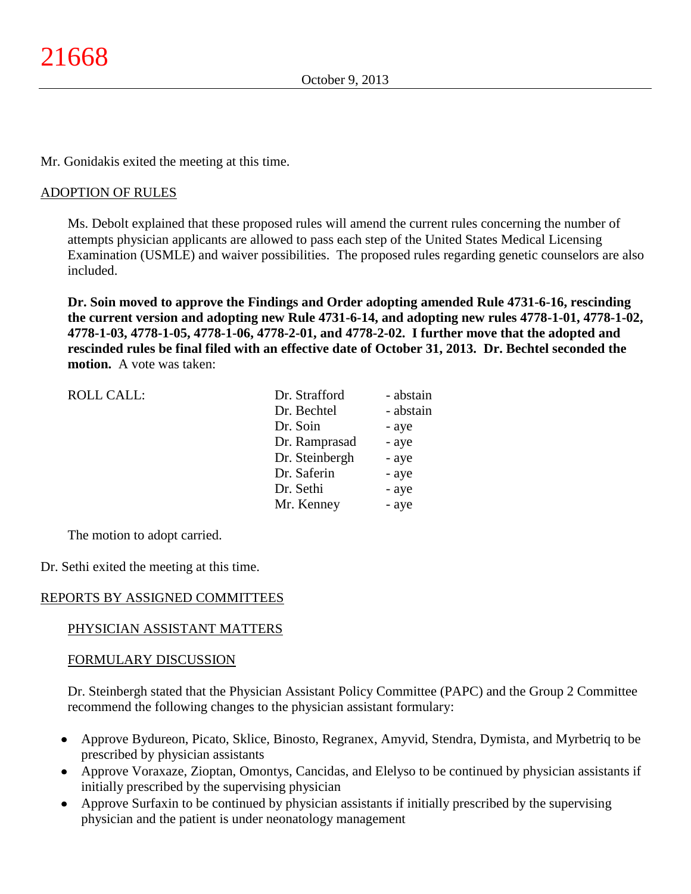Mr. Gonidakis exited the meeting at this time.

## ADOPTION OF RULES

Ms. Debolt explained that these proposed rules will amend the current rules concerning the number of attempts physician applicants are allowed to pass each step of the United States Medical Licensing Examination (USMLE) and waiver possibilities. The proposed rules regarding genetic counselors are also included.

**Dr. Soin moved to approve the Findings and Order adopting amended Rule 4731-6-16, rescinding the current version and adopting new Rule 4731-6-14, and adopting new rules 4778-1-01, 4778-1-02, 4778-1-03, 4778-1-05, 4778-1-06, 4778-2-01, and 4778-2-02. I further move that the adopted and rescinded rules be final filed with an effective date of October 31, 2013. Dr. Bechtel seconded the motion.** A vote was taken:

| <b>ROLL CALL:</b> | Dr. Strafford  | - abstain |
|-------------------|----------------|-----------|
|                   | Dr. Bechtel    | - abstain |
|                   | Dr. Soin       | - aye     |
|                   | Dr. Ramprasad  | - aye     |
|                   | Dr. Steinbergh | - aye     |
|                   | Dr. Saferin    | - aye     |
|                   | Dr. Sethi      | - aye     |
|                   | Mr. Kenney     | - aye     |
|                   |                |           |

The motion to adopt carried.

Dr. Sethi exited the meeting at this time.

## REPORTS BY ASSIGNED COMMITTEES

# PHYSICIAN ASSISTANT MATTERS

## FORMULARY DISCUSSION

Dr. Steinbergh stated that the Physician Assistant Policy Committee (PAPC) and the Group 2 Committee recommend the following changes to the physician assistant formulary:

- Approve Bydureon, Picato, Sklice, Binosto, Regranex, Amyvid, Stendra, Dymista, and Myrbetriq to be  $\bullet$ prescribed by physician assistants
- Approve Voraxaze, Zioptan, Omontys, Cancidas, and Elelyso to be continued by physician assistants if initially prescribed by the supervising physician
- Approve Surfaxin to be continued by physician assistants if initially prescribed by the supervising  $\bullet$ physician and the patient is under neonatology management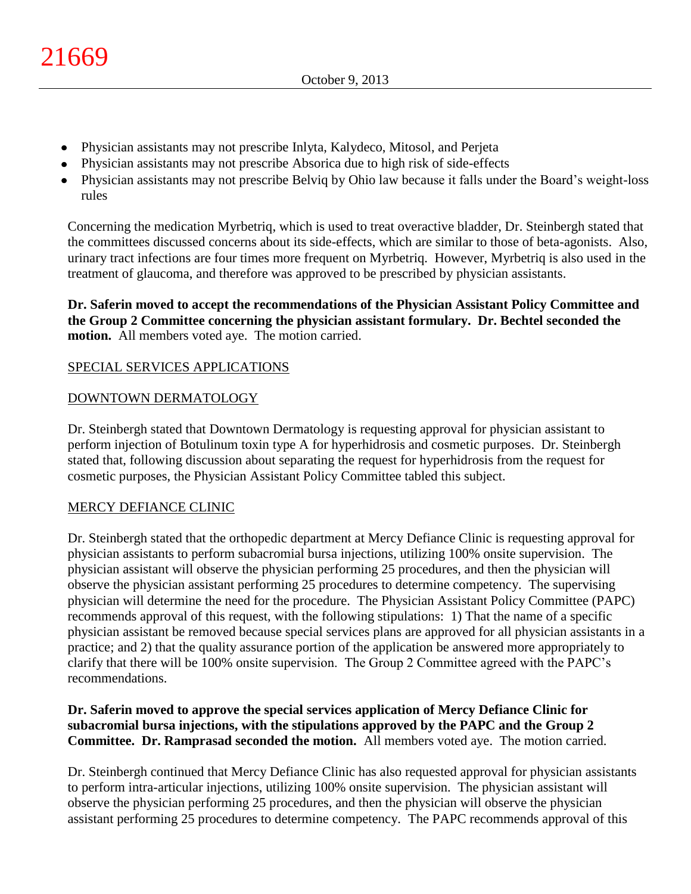- Physician assistants may not prescribe Inlyta, Kalydeco, Mitosol, and Perjeta
- Physician assistants may not prescribe Absorica due to high risk of side-effects
- Physician assistants may not prescribe Belviq by Ohio law because it falls under the Board's weight-loss rules

Concerning the medication Myrbetriq, which is used to treat overactive bladder, Dr. Steinbergh stated that the committees discussed concerns about its side-effects, which are similar to those of beta-agonists. Also, urinary tract infections are four times more frequent on Myrbetriq. However, Myrbetriq is also used in the treatment of glaucoma, and therefore was approved to be prescribed by physician assistants.

**Dr. Saferin moved to accept the recommendations of the Physician Assistant Policy Committee and the Group 2 Committee concerning the physician assistant formulary. Dr. Bechtel seconded the motion.** All members voted aye. The motion carried.

# SPECIAL SERVICES APPLICATIONS

## DOWNTOWN DERMATOLOGY

Dr. Steinbergh stated that Downtown Dermatology is requesting approval for physician assistant to perform injection of Botulinum toxin type A for hyperhidrosis and cosmetic purposes. Dr. Steinbergh stated that, following discussion about separating the request for hyperhidrosis from the request for cosmetic purposes, the Physician Assistant Policy Committee tabled this subject.

## MERCY DEFIANCE CLINIC

Dr. Steinbergh stated that the orthopedic department at Mercy Defiance Clinic is requesting approval for physician assistants to perform subacromial bursa injections, utilizing 100% onsite supervision. The physician assistant will observe the physician performing 25 procedures, and then the physician will observe the physician assistant performing 25 procedures to determine competency. The supervising physician will determine the need for the procedure. The Physician Assistant Policy Committee (PAPC) recommends approval of this request, with the following stipulations: 1) That the name of a specific physician assistant be removed because special services plans are approved for all physician assistants in a practice; and 2) that the quality assurance portion of the application be answered more appropriately to clarify that there will be 100% onsite supervision. The Group 2 Committee agreed with the PAPC's recommendations.

## **Dr. Saferin moved to approve the special services application of Mercy Defiance Clinic for subacromial bursa injections, with the stipulations approved by the PAPC and the Group 2 Committee. Dr. Ramprasad seconded the motion.** All members voted aye. The motion carried.

Dr. Steinbergh continued that Mercy Defiance Clinic has also requested approval for physician assistants to perform intra-articular injections, utilizing 100% onsite supervision. The physician assistant will observe the physician performing 25 procedures, and then the physician will observe the physician assistant performing 25 procedures to determine competency. The PAPC recommends approval of this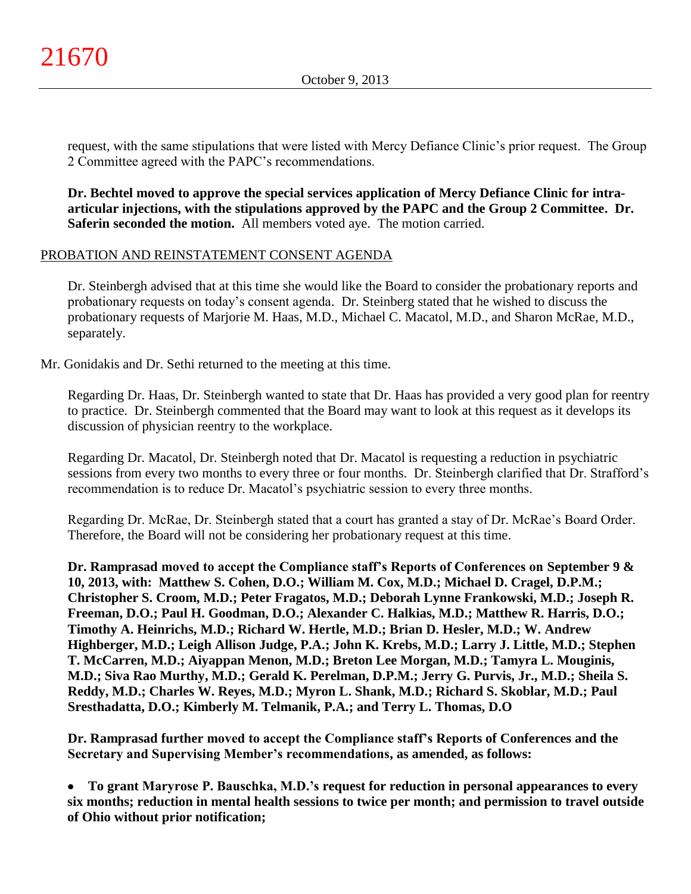request, with the same stipulations that were listed with Mercy Defiance Clinic's prior request. The Group 2 Committee agreed with the PAPC's recommendations.

**Dr. Bechtel moved to approve the special services application of Mercy Defiance Clinic for intraarticular injections, with the stipulations approved by the PAPC and the Group 2 Committee. Dr. Saferin seconded the motion.** All members voted aye. The motion carried.

# PROBATION AND REINSTATEMENT CONSENT AGENDA

Dr. Steinbergh advised that at this time she would like the Board to consider the probationary reports and probationary requests on today's consent agenda. Dr. Steinberg stated that he wished to discuss the probationary requests of Marjorie M. Haas, M.D., Michael C. Macatol, M.D., and Sharon McRae, M.D., separately.

Mr. Gonidakis and Dr. Sethi returned to the meeting at this time.

Regarding Dr. Haas, Dr. Steinbergh wanted to state that Dr. Haas has provided a very good plan for reentry to practice. Dr. Steinbergh commented that the Board may want to look at this request as it develops its discussion of physician reentry to the workplace.

Regarding Dr. Macatol, Dr. Steinbergh noted that Dr. Macatol is requesting a reduction in psychiatric sessions from every two months to every three or four months. Dr. Steinbergh clarified that Dr. Strafford's recommendation is to reduce Dr. Macatol's psychiatric session to every three months.

Regarding Dr. McRae, Dr. Steinbergh stated that a court has granted a stay of Dr. McRae's Board Order. Therefore, the Board will not be considering her probationary request at this time.

**Dr. Ramprasad moved to accept the Compliance staff's Reports of Conferences on September 9 & 10, 2013, with: Matthew S. Cohen, D.O.; William M. Cox, M.D.; Michael D. Cragel, D.P.M.; Christopher S. Croom, M.D.; Peter Fragatos, M.D.; Deborah Lynne Frankowski, M.D.; Joseph R. Freeman, D.O.; Paul H. Goodman, D.O.; Alexander C. Halkias, M.D.; Matthew R. Harris, D.O.; Timothy A. Heinrichs, M.D.; Richard W. Hertle, M.D.; Brian D. Hesler, M.D.; W. Andrew Highberger, M.D.; Leigh Allison Judge, P.A.; John K. Krebs, M.D.; Larry J. Little, M.D.; Stephen T. McCarren, M.D.; Aiyappan Menon, M.D.; Breton Lee Morgan, M.D.; Tamyra L. Mouginis, M.D.; Siva Rao Murthy, M.D.; Gerald K. Perelman, D.P.M.; Jerry G. Purvis, Jr., M.D.; Sheila S. Reddy, M.D.; Charles W. Reyes, M.D.; Myron L. Shank, M.D.; Richard S. Skoblar, M.D.; Paul Sresthadatta, D.O.; Kimberly M. Telmanik, P.A.; and Terry L. Thomas, D.O**

**Dr. Ramprasad further moved to accept the Compliance staff's Reports of Conferences and the Secretary and Supervising Member's recommendations, as amended, as follows:**

**To grant Maryrose P. Bauschka, M.D.'s request for reduction in personal appearances to every**   $\bullet$ **six months; reduction in mental health sessions to twice per month; and permission to travel outside of Ohio without prior notification;**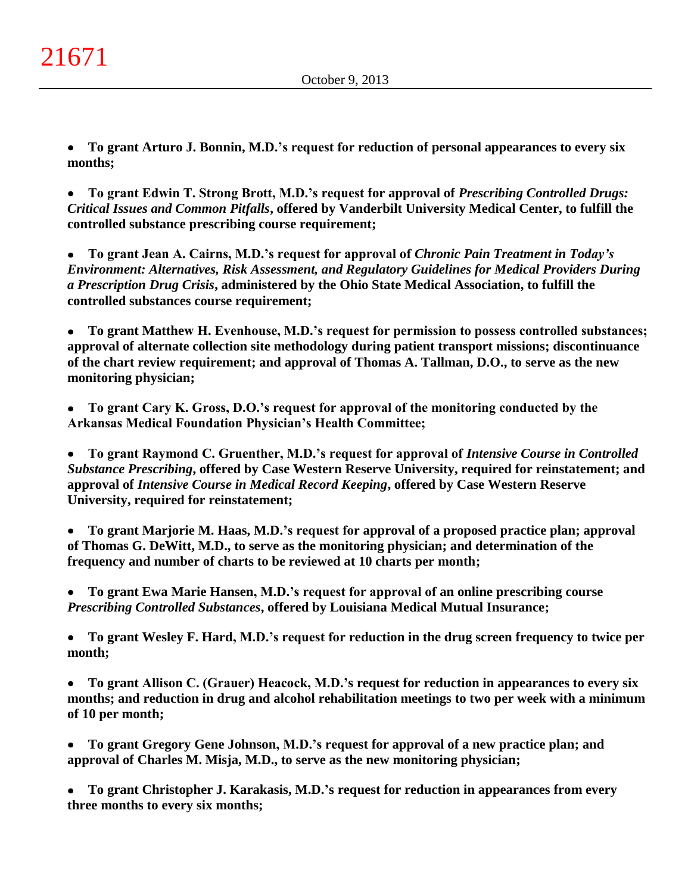**To grant Arturo J. Bonnin, M.D.'s request for reduction of personal appearances to every six**   $\bullet$ **months;**

**To grant Edwin T. Strong Brott, M.D.'s request for approval of** *Prescribing Controlled Drugs:*   $\bullet$ *Critical Issues and Common Pitfalls***, offered by Vanderbilt University Medical Center, to fulfill the controlled substance prescribing course requirement;**

**To grant Jean A. Cairns, M.D.'s request for approval of** *Chronic Pain Treatment in Today's*   $\bullet$ *Environment: Alternatives, Risk Assessment, and Regulatory Guidelines for Medical Providers During a Prescription Drug Crisis***, administered by the Ohio State Medical Association, to fulfill the controlled substances course requirement;**

**To grant Matthew H. Evenhouse, M.D.'s request for permission to possess controlled substances;**   $\bullet$ **approval of alternate collection site methodology during patient transport missions; discontinuance of the chart review requirement; and approval of Thomas A. Tallman, D.O., to serve as the new monitoring physician;**

**To grant Cary K. Gross, D.O.'s request for approval of the monitoring conducted by the Arkansas Medical Foundation Physician's Health Committee;**

 $\bullet$ **To grant Raymond C. Gruenther, M.D.'s request for approval of** *Intensive Course in Controlled Substance Prescribing***, offered by Case Western Reserve University, required for reinstatement; and approval of** *Intensive Course in Medical Record Keeping***, offered by Case Western Reserve University, required for reinstatement;**

**To grant Marjorie M. Haas, M.D.'s request for approval of a proposed practice plan; approval**   $\bullet$ **of Thomas G. DeWitt, M.D., to serve as the monitoring physician; and determination of the frequency and number of charts to be reviewed at 10 charts per month;**

**To grant Ewa Marie Hansen, M.D.'s request for approval of an online prescribing course**   $\bullet$ *Prescribing Controlled Substances***, offered by Louisiana Medical Mutual Insurance;**

 $\bullet$ **To grant Wesley F. Hard, M.D.'s request for reduction in the drug screen frequency to twice per month;**

**To grant Allison C. (Grauer) Heacock, M.D.'s request for reduction in appearances to every six**   $\bullet$ **months; and reduction in drug and alcohol rehabilitation meetings to two per week with a minimum of 10 per month;**

**To grant Gregory Gene Johnson, M.D.'s request for approval of a new practice plan; and**   $\bullet$ **approval of Charles M. Misja, M.D., to serve as the new monitoring physician;**

**To grant Christopher J. Karakasis, M.D.'s request for reduction in appearances from every three months to every six months;**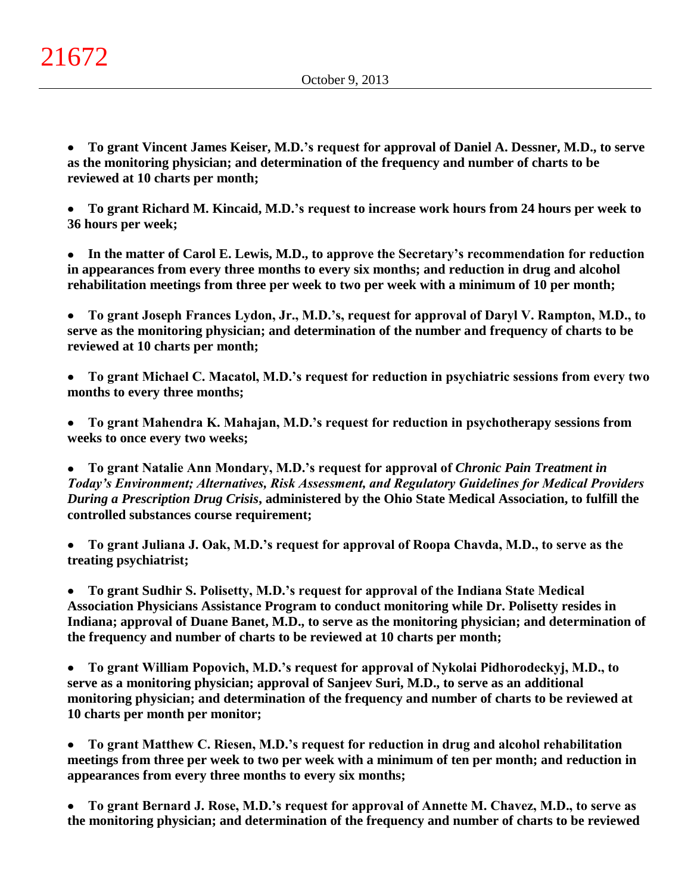**To grant Vincent James Keiser, M.D.'s request for approval of Daniel A. Dessner, M.D., to serve**   $\bullet$ **as the monitoring physician; and determination of the frequency and number of charts to be reviewed at 10 charts per month;**

**To grant Richard M. Kincaid, M.D.'s request to increase work hours from 24 hours per week to**   $\bullet$ **36 hours per week;**

**In the matter of Carol E. Lewis, M.D., to approve the Secretary's recommendation for reduction**   $\bullet$ **in appearances from every three months to every six months; and reduction in drug and alcohol rehabilitation meetings from three per week to two per week with a minimum of 10 per month;**

**To grant Joseph Frances Lydon, Jr., M.D.'s, request for approval of Daryl V. Rampton, M.D., to**   $\bullet$ **serve as the monitoring physician; and determination of the number and frequency of charts to be reviewed at 10 charts per month;**

**To grant Michael C. Macatol, M.D.'s request for reduction in psychiatric sessions from every two months to every three months;**

**To grant Mahendra K. Mahajan, M.D.'s request for reduction in psychotherapy sessions from**   $\bullet$ **weeks to once every two weeks;**

**To grant Natalie Ann Mondary, M.D.'s request for approval of** *Chronic Pain Treatment in Today's Environment; Alternatives, Risk Assessment, and Regulatory Guidelines for Medical Providers During a Prescription Drug Crisis***, administered by the Ohio State Medical Association, to fulfill the controlled substances course requirement;**

**To grant Juliana J. Oak, M.D.'s request for approval of Roopa Chavda, M.D., to serve as the treating psychiatrist;**

**To grant Sudhir S. Polisetty, M.D.'s request for approval of the Indiana State Medical Association Physicians Assistance Program to conduct monitoring while Dr. Polisetty resides in Indiana; approval of Duane Banet, M.D., to serve as the monitoring physician; and determination of the frequency and number of charts to be reviewed at 10 charts per month;**

 $\bullet$ **To grant William Popovich, M.D.'s request for approval of Nykolai Pidhorodeckyj, M.D., to serve as a monitoring physician; approval of Sanjeev Suri, M.D., to serve as an additional monitoring physician; and determination of the frequency and number of charts to be reviewed at 10 charts per month per monitor;**

**To grant Matthew C. Riesen, M.D.'s request for reduction in drug and alcohol rehabilitation**   $\bullet$ **meetings from three per week to two per week with a minimum of ten per month; and reduction in appearances from every three months to every six months;**

**To grant Bernard J. Rose, M.D.'s request for approval of Annette M. Chavez, M.D., to serve as**   $\bullet$ **the monitoring physician; and determination of the frequency and number of charts to be reviewed**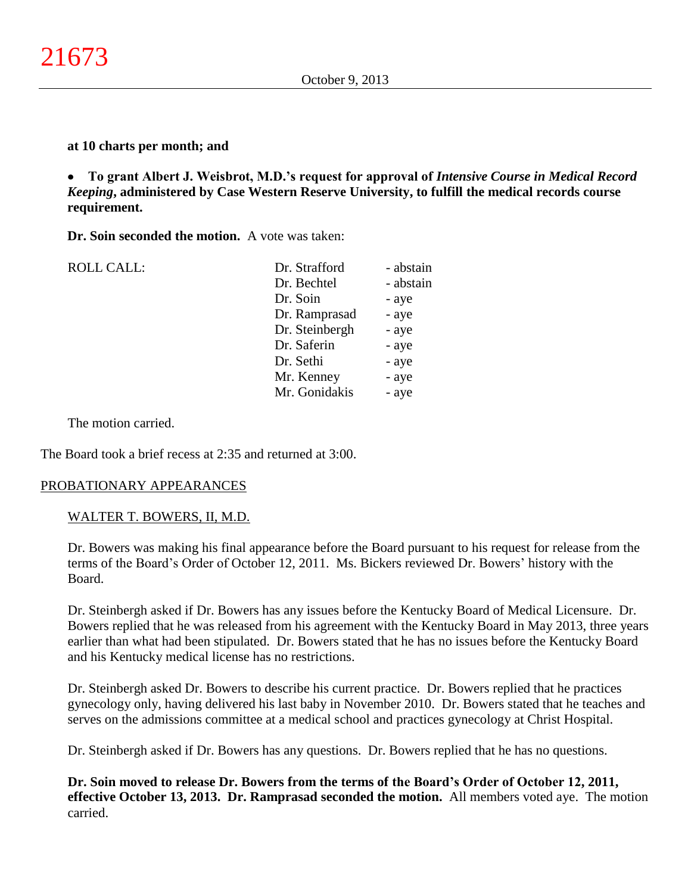### **at 10 charts per month; and**

**To grant Albert J. Weisbrot, M.D.'s request for approval of** *Intensive Course in Medical Record*   $\bullet$ *Keeping***, administered by Case Western Reserve University, to fulfill the medical records course requirement.**

**Dr. Soin seconded the motion.** A vote was taken:

| <b>ROLL CALL:</b> | Dr. Strafford  | - abstain |
|-------------------|----------------|-----------|
|                   | Dr. Bechtel    | - abstain |
|                   | Dr. Soin       | - aye     |
|                   | Dr. Ramprasad  | - aye     |
|                   | Dr. Steinbergh | - aye     |
|                   | Dr. Saferin    | - aye     |
|                   | Dr. Sethi      | - aye     |
|                   | Mr. Kenney     | - aye     |
|                   | Mr. Gonidakis  | - aye     |

The motion carried.

The Board took a brief recess at 2:35 and returned at 3:00.

## PROBATIONARY APPEARANCES

### WALTER T. BOWERS, II, M.D.

Dr. Bowers was making his final appearance before the Board pursuant to his request for release from the terms of the Board's Order of October 12, 2011. Ms. Bickers reviewed Dr. Bowers' history with the Board.

Dr. Steinbergh asked if Dr. Bowers has any issues before the Kentucky Board of Medical Licensure. Dr. Bowers replied that he was released from his agreement with the Kentucky Board in May 2013, three years earlier than what had been stipulated. Dr. Bowers stated that he has no issues before the Kentucky Board and his Kentucky medical license has no restrictions.

Dr. Steinbergh asked Dr. Bowers to describe his current practice. Dr. Bowers replied that he practices gynecology only, having delivered his last baby in November 2010. Dr. Bowers stated that he teaches and serves on the admissions committee at a medical school and practices gynecology at Christ Hospital.

Dr. Steinbergh asked if Dr. Bowers has any questions. Dr. Bowers replied that he has no questions.

**Dr. Soin moved to release Dr. Bowers from the terms of the Board's Order of October 12, 2011, effective October 13, 2013. Dr. Ramprasad seconded the motion.** All members voted aye. The motion carried.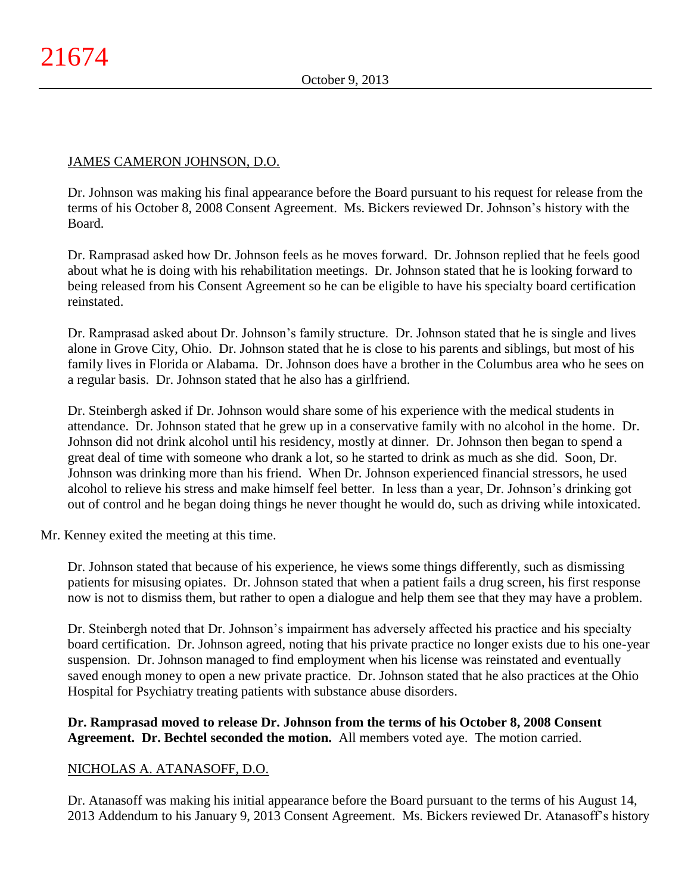## JAMES CAMERON JOHNSON, D.O.

Dr. Johnson was making his final appearance before the Board pursuant to his request for release from the terms of his October 8, 2008 Consent Agreement. Ms. Bickers reviewed Dr. Johnson's history with the Board.

Dr. Ramprasad asked how Dr. Johnson feels as he moves forward. Dr. Johnson replied that he feels good about what he is doing with his rehabilitation meetings. Dr. Johnson stated that he is looking forward to being released from his Consent Agreement so he can be eligible to have his specialty board certification reinstated.

Dr. Ramprasad asked about Dr. Johnson's family structure. Dr. Johnson stated that he is single and lives alone in Grove City, Ohio. Dr. Johnson stated that he is close to his parents and siblings, but most of his family lives in Florida or Alabama. Dr. Johnson does have a brother in the Columbus area who he sees on a regular basis. Dr. Johnson stated that he also has a girlfriend.

Dr. Steinbergh asked if Dr. Johnson would share some of his experience with the medical students in attendance. Dr. Johnson stated that he grew up in a conservative family with no alcohol in the home. Dr. Johnson did not drink alcohol until his residency, mostly at dinner. Dr. Johnson then began to spend a great deal of time with someone who drank a lot, so he started to drink as much as she did. Soon, Dr. Johnson was drinking more than his friend. When Dr. Johnson experienced financial stressors, he used alcohol to relieve his stress and make himself feel better. In less than a year, Dr. Johnson's drinking got out of control and he began doing things he never thought he would do, such as driving while intoxicated.

Mr. Kenney exited the meeting at this time.

Dr. Johnson stated that because of his experience, he views some things differently, such as dismissing patients for misusing opiates. Dr. Johnson stated that when a patient fails a drug screen, his first response now is not to dismiss them, but rather to open a dialogue and help them see that they may have a problem.

Dr. Steinbergh noted that Dr. Johnson's impairment has adversely affected his practice and his specialty board certification. Dr. Johnson agreed, noting that his private practice no longer exists due to his one-year suspension. Dr. Johnson managed to find employment when his license was reinstated and eventually saved enough money to open a new private practice. Dr. Johnson stated that he also practices at the Ohio Hospital for Psychiatry treating patients with substance abuse disorders.

## **Dr. Ramprasad moved to release Dr. Johnson from the terms of his October 8, 2008 Consent Agreement. Dr. Bechtel seconded the motion.** All members voted aye. The motion carried.

# NICHOLAS A. ATANASOFF, D.O.

Dr. Atanasoff was making his initial appearance before the Board pursuant to the terms of his August 14, 2013 Addendum to his January 9, 2013 Consent Agreement. Ms. Bickers reviewed Dr. Atanasoff's history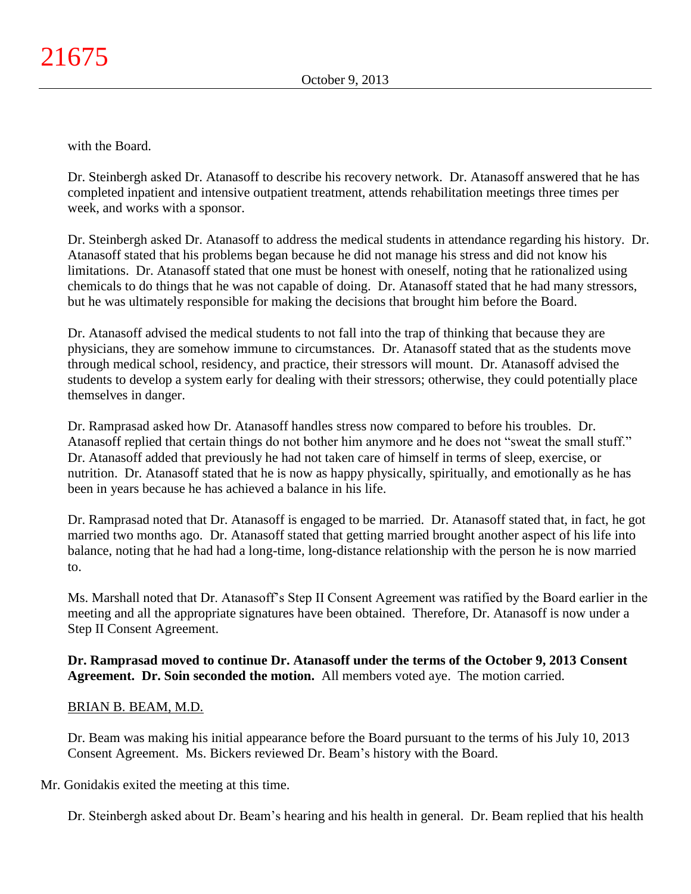with the Board.

Dr. Steinbergh asked Dr. Atanasoff to describe his recovery network. Dr. Atanasoff answered that he has completed inpatient and intensive outpatient treatment, attends rehabilitation meetings three times per week, and works with a sponsor.

Dr. Steinbergh asked Dr. Atanasoff to address the medical students in attendance regarding his history. Dr. Atanasoff stated that his problems began because he did not manage his stress and did not know his limitations. Dr. Atanasoff stated that one must be honest with oneself, noting that he rationalized using chemicals to do things that he was not capable of doing. Dr. Atanasoff stated that he had many stressors, but he was ultimately responsible for making the decisions that brought him before the Board.

Dr. Atanasoff advised the medical students to not fall into the trap of thinking that because they are physicians, they are somehow immune to circumstances. Dr. Atanasoff stated that as the students move through medical school, residency, and practice, their stressors will mount. Dr. Atanasoff advised the students to develop a system early for dealing with their stressors; otherwise, they could potentially place themselves in danger.

Dr. Ramprasad asked how Dr. Atanasoff handles stress now compared to before his troubles. Dr. Atanasoff replied that certain things do not bother him anymore and he does not "sweat the small stuff." Dr. Atanasoff added that previously he had not taken care of himself in terms of sleep, exercise, or nutrition. Dr. Atanasoff stated that he is now as happy physically, spiritually, and emotionally as he has been in years because he has achieved a balance in his life.

Dr. Ramprasad noted that Dr. Atanasoff is engaged to be married. Dr. Atanasoff stated that, in fact, he got married two months ago. Dr. Atanasoff stated that getting married brought another aspect of his life into balance, noting that he had had a long-time, long-distance relationship with the person he is now married to.

Ms. Marshall noted that Dr. Atanasoff's Step II Consent Agreement was ratified by the Board earlier in the meeting and all the appropriate signatures have been obtained. Therefore, Dr. Atanasoff is now under a Step II Consent Agreement.

## **Dr. Ramprasad moved to continue Dr. Atanasoff under the terms of the October 9, 2013 Consent Agreement. Dr. Soin seconded the motion.** All members voted aye. The motion carried.

## BRIAN B. BEAM, M.D.

Dr. Beam was making his initial appearance before the Board pursuant to the terms of his July 10, 2013 Consent Agreement. Ms. Bickers reviewed Dr. Beam's history with the Board.

Mr. Gonidakis exited the meeting at this time.

Dr. Steinbergh asked about Dr. Beam's hearing and his health in general. Dr. Beam replied that his health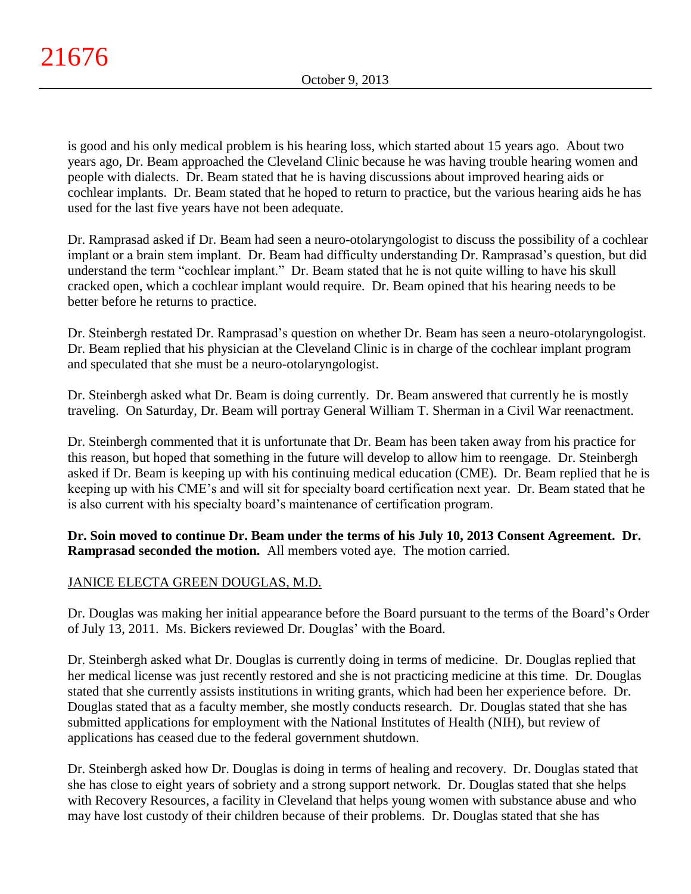is good and his only medical problem is his hearing loss, which started about 15 years ago. About two years ago, Dr. Beam approached the Cleveland Clinic because he was having trouble hearing women and people with dialects. Dr. Beam stated that he is having discussions about improved hearing aids or cochlear implants. Dr. Beam stated that he hoped to return to practice, but the various hearing aids he has used for the last five years have not been adequate.

Dr. Ramprasad asked if Dr. Beam had seen a neuro-otolaryngologist to discuss the possibility of a cochlear implant or a brain stem implant. Dr. Beam had difficulty understanding Dr. Ramprasad's question, but did understand the term "cochlear implant." Dr. Beam stated that he is not quite willing to have his skull cracked open, which a cochlear implant would require. Dr. Beam opined that his hearing needs to be better before he returns to practice.

Dr. Steinbergh restated Dr. Ramprasad's question on whether Dr. Beam has seen a neuro-otolaryngologist. Dr. Beam replied that his physician at the Cleveland Clinic is in charge of the cochlear implant program and speculated that she must be a neuro-otolaryngologist.

Dr. Steinbergh asked what Dr. Beam is doing currently. Dr. Beam answered that currently he is mostly traveling. On Saturday, Dr. Beam will portray General William T. Sherman in a Civil War reenactment.

Dr. Steinbergh commented that it is unfortunate that Dr. Beam has been taken away from his practice for this reason, but hoped that something in the future will develop to allow him to reengage. Dr. Steinbergh asked if Dr. Beam is keeping up with his continuing medical education (CME). Dr. Beam replied that he is keeping up with his CME's and will sit for specialty board certification next year. Dr. Beam stated that he is also current with his specialty board's maintenance of certification program.

**Dr. Soin moved to continue Dr. Beam under the terms of his July 10, 2013 Consent Agreement. Dr. Ramprasad seconded the motion.** All members voted aye. The motion carried.

# JANICE ELECTA GREEN DOUGLAS, M.D.

Dr. Douglas was making her initial appearance before the Board pursuant to the terms of the Board's Order of July 13, 2011. Ms. Bickers reviewed Dr. Douglas' with the Board.

Dr. Steinbergh asked what Dr. Douglas is currently doing in terms of medicine. Dr. Douglas replied that her medical license was just recently restored and she is not practicing medicine at this time. Dr. Douglas stated that she currently assists institutions in writing grants, which had been her experience before. Dr. Douglas stated that as a faculty member, she mostly conducts research. Dr. Douglas stated that she has submitted applications for employment with the National Institutes of Health (NIH), but review of applications has ceased due to the federal government shutdown.

Dr. Steinbergh asked how Dr. Douglas is doing in terms of healing and recovery. Dr. Douglas stated that she has close to eight years of sobriety and a strong support network. Dr. Douglas stated that she helps with Recovery Resources, a facility in Cleveland that helps young women with substance abuse and who may have lost custody of their children because of their problems. Dr. Douglas stated that she has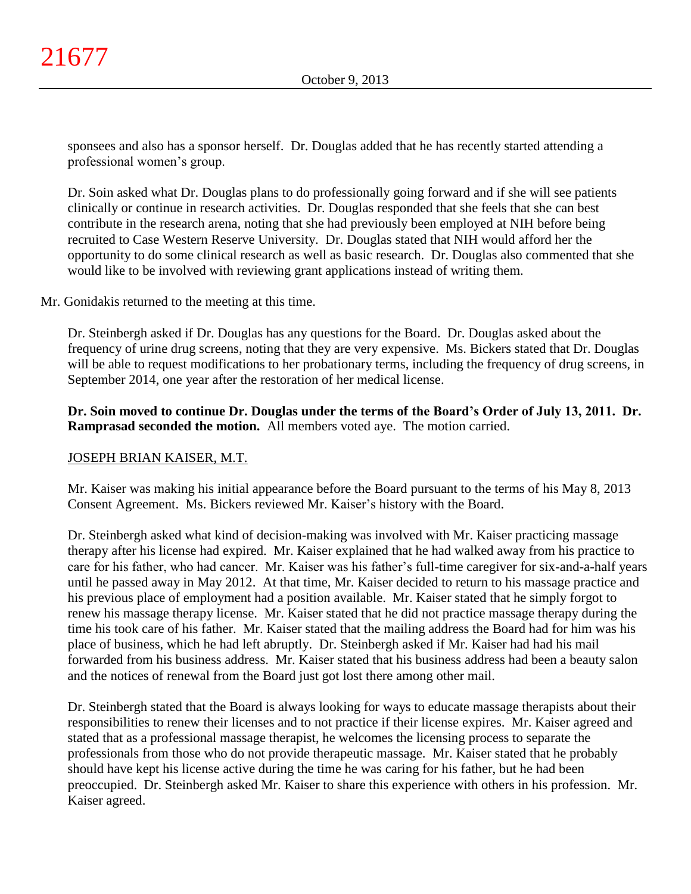sponsees and also has a sponsor herself. Dr. Douglas added that he has recently started attending a professional women's group.

Dr. Soin asked what Dr. Douglas plans to do professionally going forward and if she will see patients clinically or continue in research activities. Dr. Douglas responded that she feels that she can best contribute in the research arena, noting that she had previously been employed at NIH before being recruited to Case Western Reserve University. Dr. Douglas stated that NIH would afford her the opportunity to do some clinical research as well as basic research. Dr. Douglas also commented that she would like to be involved with reviewing grant applications instead of writing them.

Mr. Gonidakis returned to the meeting at this time.

Dr. Steinbergh asked if Dr. Douglas has any questions for the Board. Dr. Douglas asked about the frequency of urine drug screens, noting that they are very expensive. Ms. Bickers stated that Dr. Douglas will be able to request modifications to her probationary terms, including the frequency of drug screens, in September 2014, one year after the restoration of her medical license.

**Dr. Soin moved to continue Dr. Douglas under the terms of the Board's Order of July 13, 2011. Dr. Ramprasad seconded the motion.** All members voted aye. The motion carried.

# JOSEPH BRIAN KAISER, M.T.

Mr. Kaiser was making his initial appearance before the Board pursuant to the terms of his May 8, 2013 Consent Agreement. Ms. Bickers reviewed Mr. Kaiser's history with the Board.

Dr. Steinbergh asked what kind of decision-making was involved with Mr. Kaiser practicing massage therapy after his license had expired. Mr. Kaiser explained that he had walked away from his practice to care for his father, who had cancer. Mr. Kaiser was his father's full-time caregiver for six-and-a-half years until he passed away in May 2012. At that time, Mr. Kaiser decided to return to his massage practice and his previous place of employment had a position available. Mr. Kaiser stated that he simply forgot to renew his massage therapy license. Mr. Kaiser stated that he did not practice massage therapy during the time his took care of his father. Mr. Kaiser stated that the mailing address the Board had for him was his place of business, which he had left abruptly. Dr. Steinbergh asked if Mr. Kaiser had had his mail forwarded from his business address. Mr. Kaiser stated that his business address had been a beauty salon and the notices of renewal from the Board just got lost there among other mail.

Dr. Steinbergh stated that the Board is always looking for ways to educate massage therapists about their responsibilities to renew their licenses and to not practice if their license expires. Mr. Kaiser agreed and stated that as a professional massage therapist, he welcomes the licensing process to separate the professionals from those who do not provide therapeutic massage. Mr. Kaiser stated that he probably should have kept his license active during the time he was caring for his father, but he had been preoccupied. Dr. Steinbergh asked Mr. Kaiser to share this experience with others in his profession. Mr. Kaiser agreed.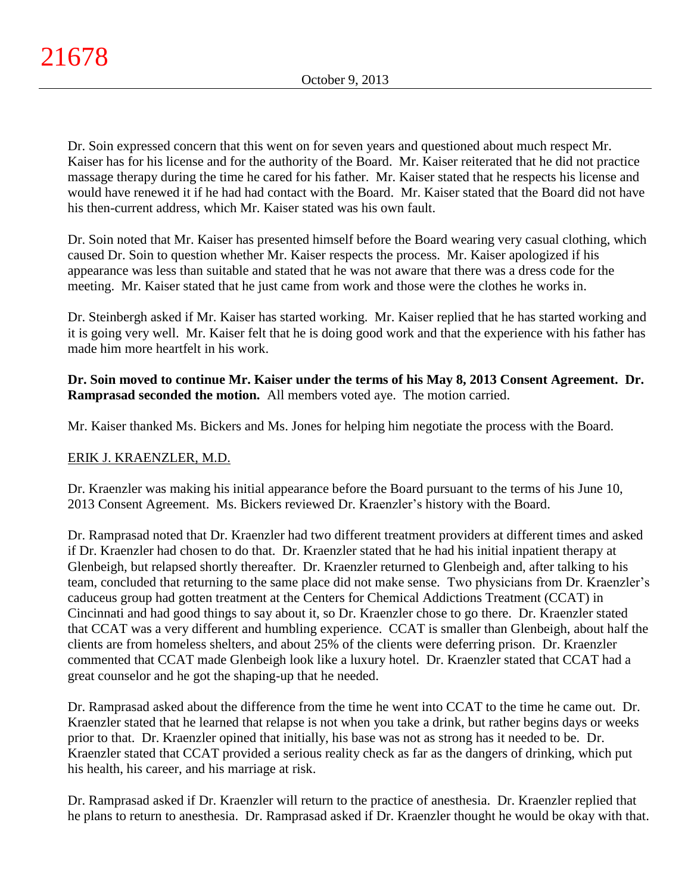Dr. Soin expressed concern that this went on for seven years and questioned about much respect Mr. Kaiser has for his license and for the authority of the Board. Mr. Kaiser reiterated that he did not practice massage therapy during the time he cared for his father. Mr. Kaiser stated that he respects his license and would have renewed it if he had had contact with the Board. Mr. Kaiser stated that the Board did not have his then-current address, which Mr. Kaiser stated was his own fault.

Dr. Soin noted that Mr. Kaiser has presented himself before the Board wearing very casual clothing, which caused Dr. Soin to question whether Mr. Kaiser respects the process. Mr. Kaiser apologized if his appearance was less than suitable and stated that he was not aware that there was a dress code for the meeting. Mr. Kaiser stated that he just came from work and those were the clothes he works in.

Dr. Steinbergh asked if Mr. Kaiser has started working. Mr. Kaiser replied that he has started working and it is going very well. Mr. Kaiser felt that he is doing good work and that the experience with his father has made him more heartfelt in his work.

**Dr. Soin moved to continue Mr. Kaiser under the terms of his May 8, 2013 Consent Agreement. Dr. Ramprasad seconded the motion.** All members voted aye. The motion carried.

Mr. Kaiser thanked Ms. Bickers and Ms. Jones for helping him negotiate the process with the Board.

# ERIK J. KRAENZLER, M.D.

Dr. Kraenzler was making his initial appearance before the Board pursuant to the terms of his June 10, 2013 Consent Agreement. Ms. Bickers reviewed Dr. Kraenzler's history with the Board.

Dr. Ramprasad noted that Dr. Kraenzler had two different treatment providers at different times and asked if Dr. Kraenzler had chosen to do that. Dr. Kraenzler stated that he had his initial inpatient therapy at Glenbeigh, but relapsed shortly thereafter. Dr. Kraenzler returned to Glenbeigh and, after talking to his team, concluded that returning to the same place did not make sense. Two physicians from Dr. Kraenzler's caduceus group had gotten treatment at the Centers for Chemical Addictions Treatment (CCAT) in Cincinnati and had good things to say about it, so Dr. Kraenzler chose to go there. Dr. Kraenzler stated that CCAT was a very different and humbling experience. CCAT is smaller than Glenbeigh, about half the clients are from homeless shelters, and about 25% of the clients were deferring prison. Dr. Kraenzler commented that CCAT made Glenbeigh look like a luxury hotel. Dr. Kraenzler stated that CCAT had a great counselor and he got the shaping-up that he needed.

Dr. Ramprasad asked about the difference from the time he went into CCAT to the time he came out. Dr. Kraenzler stated that he learned that relapse is not when you take a drink, but rather begins days or weeks prior to that. Dr. Kraenzler opined that initially, his base was not as strong has it needed to be. Dr. Kraenzler stated that CCAT provided a serious reality check as far as the dangers of drinking, which put his health, his career, and his marriage at risk.

Dr. Ramprasad asked if Dr. Kraenzler will return to the practice of anesthesia. Dr. Kraenzler replied that he plans to return to anesthesia. Dr. Ramprasad asked if Dr. Kraenzler thought he would be okay with that.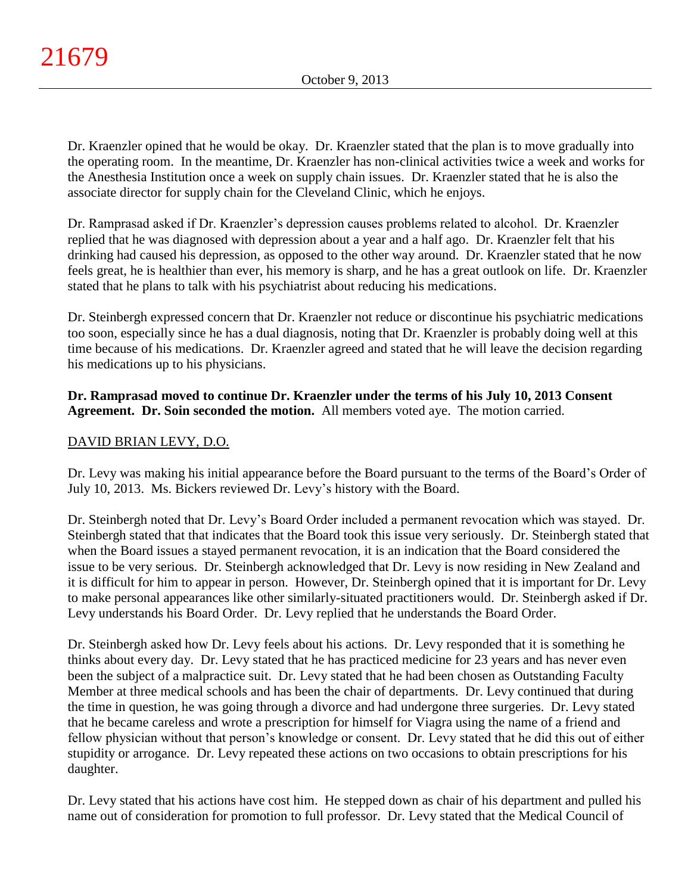Dr. Kraenzler opined that he would be okay. Dr. Kraenzler stated that the plan is to move gradually into the operating room. In the meantime, Dr. Kraenzler has non-clinical activities twice a week and works for the Anesthesia Institution once a week on supply chain issues. Dr. Kraenzler stated that he is also the associate director for supply chain for the Cleveland Clinic, which he enjoys.

Dr. Ramprasad asked if Dr. Kraenzler's depression causes problems related to alcohol. Dr. Kraenzler replied that he was diagnosed with depression about a year and a half ago. Dr. Kraenzler felt that his drinking had caused his depression, as opposed to the other way around. Dr. Kraenzler stated that he now feels great, he is healthier than ever, his memory is sharp, and he has a great outlook on life. Dr. Kraenzler stated that he plans to talk with his psychiatrist about reducing his medications.

Dr. Steinbergh expressed concern that Dr. Kraenzler not reduce or discontinue his psychiatric medications too soon, especially since he has a dual diagnosis, noting that Dr. Kraenzler is probably doing well at this time because of his medications. Dr. Kraenzler agreed and stated that he will leave the decision regarding his medications up to his physicians.

# **Dr. Ramprasad moved to continue Dr. Kraenzler under the terms of his July 10, 2013 Consent Agreement. Dr. Soin seconded the motion.** All members voted aye. The motion carried.

# DAVID BRIAN LEVY, D.O.

Dr. Levy was making his initial appearance before the Board pursuant to the terms of the Board's Order of July 10, 2013. Ms. Bickers reviewed Dr. Levy's history with the Board.

Dr. Steinbergh noted that Dr. Levy's Board Order included a permanent revocation which was stayed. Dr. Steinbergh stated that that indicates that the Board took this issue very seriously. Dr. Steinbergh stated that when the Board issues a stayed permanent revocation, it is an indication that the Board considered the issue to be very serious. Dr. Steinbergh acknowledged that Dr. Levy is now residing in New Zealand and it is difficult for him to appear in person. However, Dr. Steinbergh opined that it is important for Dr. Levy to make personal appearances like other similarly-situated practitioners would. Dr. Steinbergh asked if Dr. Levy understands his Board Order. Dr. Levy replied that he understands the Board Order.

Dr. Steinbergh asked how Dr. Levy feels about his actions. Dr. Levy responded that it is something he thinks about every day. Dr. Levy stated that he has practiced medicine for 23 years and has never even been the subject of a malpractice suit. Dr. Levy stated that he had been chosen as Outstanding Faculty Member at three medical schools and has been the chair of departments. Dr. Levy continued that during the time in question, he was going through a divorce and had undergone three surgeries. Dr. Levy stated that he became careless and wrote a prescription for himself for Viagra using the name of a friend and fellow physician without that person's knowledge or consent. Dr. Levy stated that he did this out of either stupidity or arrogance. Dr. Levy repeated these actions on two occasions to obtain prescriptions for his daughter.

Dr. Levy stated that his actions have cost him. He stepped down as chair of his department and pulled his name out of consideration for promotion to full professor. Dr. Levy stated that the Medical Council of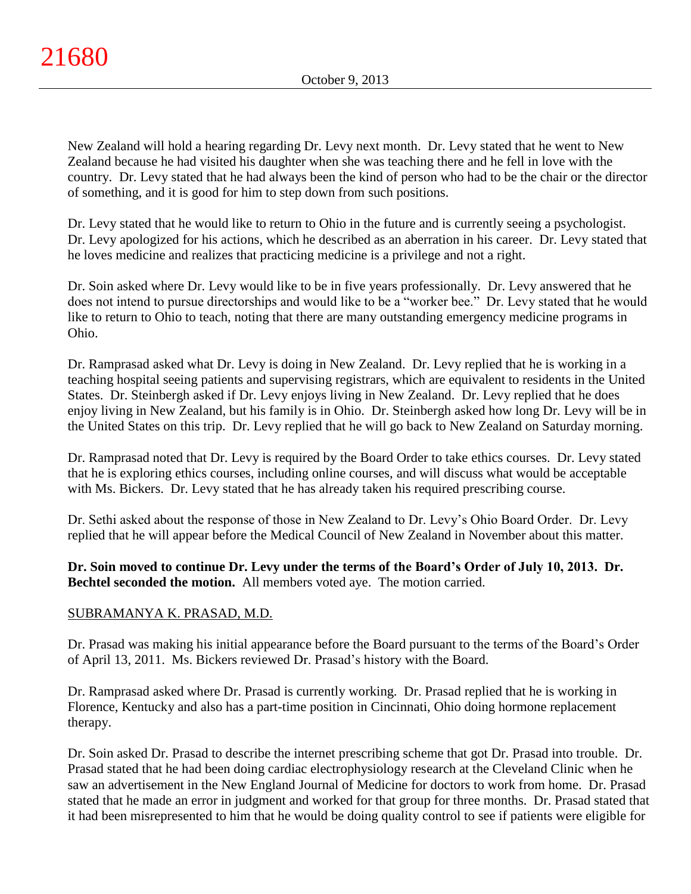New Zealand will hold a hearing regarding Dr. Levy next month. Dr. Levy stated that he went to New Zealand because he had visited his daughter when she was teaching there and he fell in love with the country. Dr. Levy stated that he had always been the kind of person who had to be the chair or the director of something, and it is good for him to step down from such positions.

Dr. Levy stated that he would like to return to Ohio in the future and is currently seeing a psychologist. Dr. Levy apologized for his actions, which he described as an aberration in his career. Dr. Levy stated that he loves medicine and realizes that practicing medicine is a privilege and not a right.

Dr. Soin asked where Dr. Levy would like to be in five years professionally. Dr. Levy answered that he does not intend to pursue directorships and would like to be a "worker bee." Dr. Levy stated that he would like to return to Ohio to teach, noting that there are many outstanding emergency medicine programs in Ohio.

Dr. Ramprasad asked what Dr. Levy is doing in New Zealand. Dr. Levy replied that he is working in a teaching hospital seeing patients and supervising registrars, which are equivalent to residents in the United States. Dr. Steinbergh asked if Dr. Levy enjoys living in New Zealand. Dr. Levy replied that he does enjoy living in New Zealand, but his family is in Ohio. Dr. Steinbergh asked how long Dr. Levy will be in the United States on this trip. Dr. Levy replied that he will go back to New Zealand on Saturday morning.

Dr. Ramprasad noted that Dr. Levy is required by the Board Order to take ethics courses. Dr. Levy stated that he is exploring ethics courses, including online courses, and will discuss what would be acceptable with Ms. Bickers. Dr. Levy stated that he has already taken his required prescribing course.

Dr. Sethi asked about the response of those in New Zealand to Dr. Levy's Ohio Board Order. Dr. Levy replied that he will appear before the Medical Council of New Zealand in November about this matter.

**Dr. Soin moved to continue Dr. Levy under the terms of the Board's Order of July 10, 2013. Dr. Bechtel seconded the motion.** All members voted aye. The motion carried.

# SUBRAMANYA K. PRASAD, M.D.

Dr. Prasad was making his initial appearance before the Board pursuant to the terms of the Board's Order of April 13, 2011. Ms. Bickers reviewed Dr. Prasad's history with the Board.

Dr. Ramprasad asked where Dr. Prasad is currently working. Dr. Prasad replied that he is working in Florence, Kentucky and also has a part-time position in Cincinnati, Ohio doing hormone replacement therapy.

Dr. Soin asked Dr. Prasad to describe the internet prescribing scheme that got Dr. Prasad into trouble. Dr. Prasad stated that he had been doing cardiac electrophysiology research at the Cleveland Clinic when he saw an advertisement in the New England Journal of Medicine for doctors to work from home. Dr. Prasad stated that he made an error in judgment and worked for that group for three months. Dr. Prasad stated that it had been misrepresented to him that he would be doing quality control to see if patients were eligible for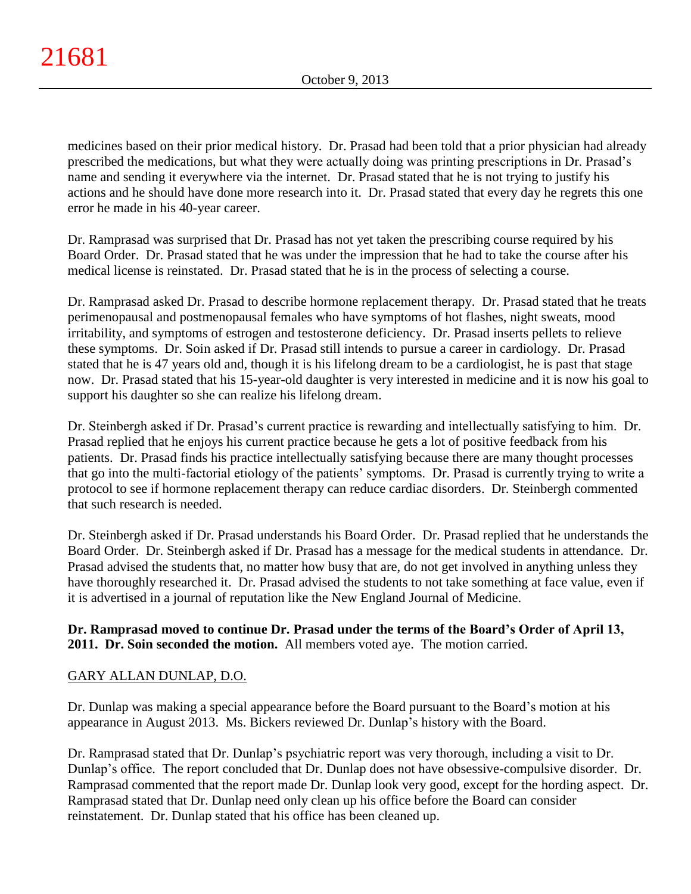medicines based on their prior medical history. Dr. Prasad had been told that a prior physician had already prescribed the medications, but what they were actually doing was printing prescriptions in Dr. Prasad's name and sending it everywhere via the internet. Dr. Prasad stated that he is not trying to justify his actions and he should have done more research into it. Dr. Prasad stated that every day he regrets this one error he made in his 40-year career.

Dr. Ramprasad was surprised that Dr. Prasad has not yet taken the prescribing course required by his Board Order. Dr. Prasad stated that he was under the impression that he had to take the course after his medical license is reinstated. Dr. Prasad stated that he is in the process of selecting a course.

Dr. Ramprasad asked Dr. Prasad to describe hormone replacement therapy. Dr. Prasad stated that he treats perimenopausal and postmenopausal females who have symptoms of hot flashes, night sweats, mood irritability, and symptoms of estrogen and testosterone deficiency. Dr. Prasad inserts pellets to relieve these symptoms. Dr. Soin asked if Dr. Prasad still intends to pursue a career in cardiology. Dr. Prasad stated that he is 47 years old and, though it is his lifelong dream to be a cardiologist, he is past that stage now. Dr. Prasad stated that his 15-year-old daughter is very interested in medicine and it is now his goal to support his daughter so she can realize his lifelong dream.

Dr. Steinbergh asked if Dr. Prasad's current practice is rewarding and intellectually satisfying to him. Dr. Prasad replied that he enjoys his current practice because he gets a lot of positive feedback from his patients. Dr. Prasad finds his practice intellectually satisfying because there are many thought processes that go into the multi-factorial etiology of the patients' symptoms. Dr. Prasad is currently trying to write a protocol to see if hormone replacement therapy can reduce cardiac disorders. Dr. Steinbergh commented that such research is needed.

Dr. Steinbergh asked if Dr. Prasad understands his Board Order. Dr. Prasad replied that he understands the Board Order. Dr. Steinbergh asked if Dr. Prasad has a message for the medical students in attendance. Dr. Prasad advised the students that, no matter how busy that are, do not get involved in anything unless they have thoroughly researched it. Dr. Prasad advised the students to not take something at face value, even if it is advertised in a journal of reputation like the New England Journal of Medicine.

**Dr. Ramprasad moved to continue Dr. Prasad under the terms of the Board's Order of April 13, 2011. Dr. Soin seconded the motion.** All members voted aye. The motion carried.

# GARY ALLAN DUNLAP, D.O.

Dr. Dunlap was making a special appearance before the Board pursuant to the Board's motion at his appearance in August 2013. Ms. Bickers reviewed Dr. Dunlap's history with the Board.

Dr. Ramprasad stated that Dr. Dunlap's psychiatric report was very thorough, including a visit to Dr. Dunlap's office. The report concluded that Dr. Dunlap does not have obsessive-compulsive disorder. Dr. Ramprasad commented that the report made Dr. Dunlap look very good, except for the hording aspect. Dr. Ramprasad stated that Dr. Dunlap need only clean up his office before the Board can consider reinstatement. Dr. Dunlap stated that his office has been cleaned up.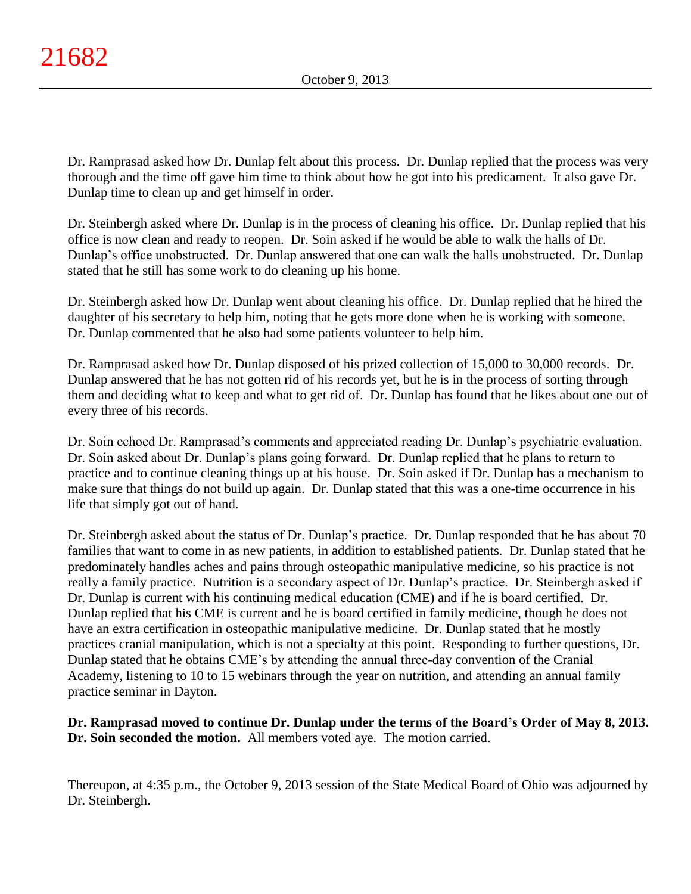Dr. Ramprasad asked how Dr. Dunlap felt about this process. Dr. Dunlap replied that the process was very thorough and the time off gave him time to think about how he got into his predicament. It also gave Dr. Dunlap time to clean up and get himself in order.

Dr. Steinbergh asked where Dr. Dunlap is in the process of cleaning his office. Dr. Dunlap replied that his office is now clean and ready to reopen. Dr. Soin asked if he would be able to walk the halls of Dr. Dunlap's office unobstructed. Dr. Dunlap answered that one can walk the halls unobstructed. Dr. Dunlap stated that he still has some work to do cleaning up his home.

Dr. Steinbergh asked how Dr. Dunlap went about cleaning his office. Dr. Dunlap replied that he hired the daughter of his secretary to help him, noting that he gets more done when he is working with someone. Dr. Dunlap commented that he also had some patients volunteer to help him.

Dr. Ramprasad asked how Dr. Dunlap disposed of his prized collection of 15,000 to 30,000 records. Dr. Dunlap answered that he has not gotten rid of his records yet, but he is in the process of sorting through them and deciding what to keep and what to get rid of. Dr. Dunlap has found that he likes about one out of every three of his records.

Dr. Soin echoed Dr. Ramprasad's comments and appreciated reading Dr. Dunlap's psychiatric evaluation. Dr. Soin asked about Dr. Dunlap's plans going forward. Dr. Dunlap replied that he plans to return to practice and to continue cleaning things up at his house. Dr. Soin asked if Dr. Dunlap has a mechanism to make sure that things do not build up again. Dr. Dunlap stated that this was a one-time occurrence in his life that simply got out of hand.

Dr. Steinbergh asked about the status of Dr. Dunlap's practice. Dr. Dunlap responded that he has about 70 families that want to come in as new patients, in addition to established patients. Dr. Dunlap stated that he predominately handles aches and pains through osteopathic manipulative medicine, so his practice is not really a family practice. Nutrition is a secondary aspect of Dr. Dunlap's practice. Dr. Steinbergh asked if Dr. Dunlap is current with his continuing medical education (CME) and if he is board certified. Dr. Dunlap replied that his CME is current and he is board certified in family medicine, though he does not have an extra certification in osteopathic manipulative medicine. Dr. Dunlap stated that he mostly practices cranial manipulation, which is not a specialty at this point. Responding to further questions, Dr. Dunlap stated that he obtains CME's by attending the annual three-day convention of the Cranial Academy, listening to 10 to 15 webinars through the year on nutrition, and attending an annual family practice seminar in Dayton.

# **Dr. Ramprasad moved to continue Dr. Dunlap under the terms of the Board's Order of May 8, 2013. Dr. Soin seconded the motion.** All members voted aye. The motion carried.

Thereupon, at 4:35 p.m., the October 9, 2013 session of the State Medical Board of Ohio was adjourned by Dr. Steinbergh.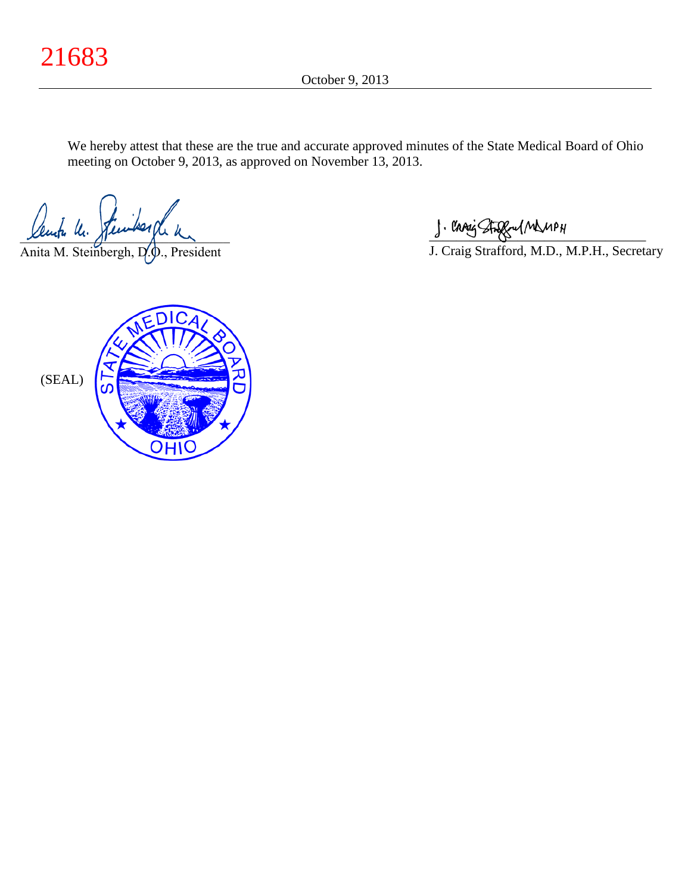We hereby attest that these are the true and accurate approved minutes of the State Medical Board of Ohio meeting on October 9, 2013, as approved on November 13, 2013.

Sente U. Stewikershe u

Anita M. Steinbergh, D.O., President

 $\frac{1}{2}$  and since  $\frac{1}{2}$ 

J. Craig Strafford, M.D., M.P.H., Secretary

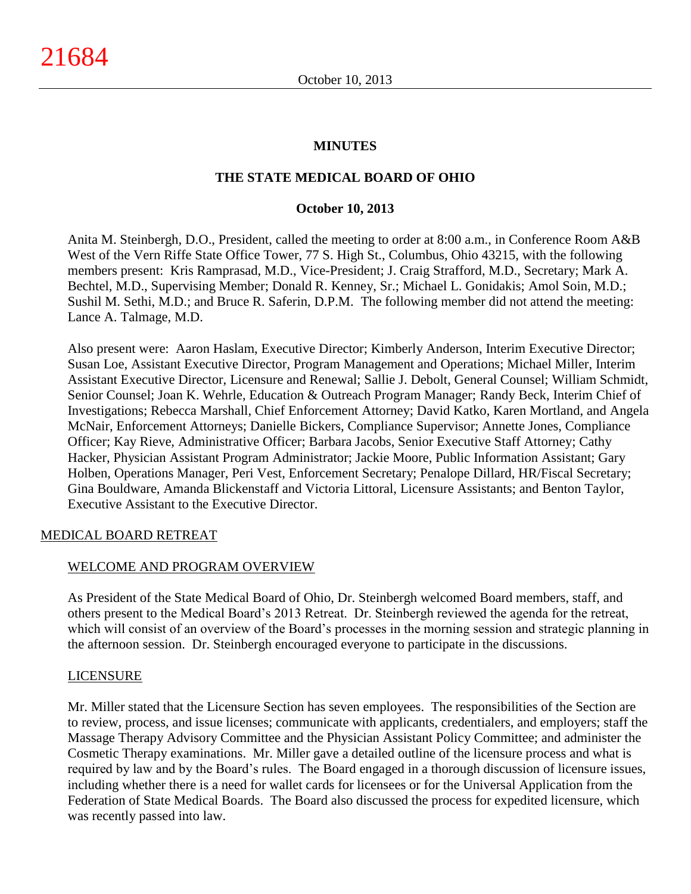### **MINUTES**

### **THE STATE MEDICAL BOARD OF OHIO**

### **October 10, 2013**

Anita M. Steinbergh, D.O., President, called the meeting to order at 8:00 a.m., in Conference Room A&B West of the Vern Riffe State Office Tower, 77 S. High St., Columbus, Ohio 43215, with the following members present: Kris Ramprasad, M.D., Vice-President; J. Craig Strafford, M.D., Secretary; Mark A. Bechtel, M.D., Supervising Member; Donald R. Kenney, Sr.; Michael L. Gonidakis; Amol Soin, M.D.; Sushil M. Sethi, M.D.; and Bruce R. Saferin, D.P.M. The following member did not attend the meeting: Lance A. Talmage, M.D.

Also present were: Aaron Haslam, Executive Director; Kimberly Anderson, Interim Executive Director; Susan Loe, Assistant Executive Director, Program Management and Operations; Michael Miller, Interim Assistant Executive Director, Licensure and Renewal; Sallie J. Debolt, General Counsel; William Schmidt, Senior Counsel; Joan K. Wehrle, Education & Outreach Program Manager; Randy Beck, Interim Chief of Investigations; Rebecca Marshall, Chief Enforcement Attorney; David Katko, Karen Mortland, and Angela McNair, Enforcement Attorneys; Danielle Bickers, Compliance Supervisor; Annette Jones, Compliance Officer; Kay Rieve, Administrative Officer; Barbara Jacobs, Senior Executive Staff Attorney; Cathy Hacker, Physician Assistant Program Administrator; Jackie Moore, Public Information Assistant; Gary Holben, Operations Manager, Peri Vest, Enforcement Secretary; Penalope Dillard, HR/Fiscal Secretary; Gina Bouldware, Amanda Blickenstaff and Victoria Littoral, Licensure Assistants; and Benton Taylor, Executive Assistant to the Executive Director.

### MEDICAL BOARD RETREAT

## WELCOME AND PROGRAM OVERVIEW

As President of the State Medical Board of Ohio, Dr. Steinbergh welcomed Board members, staff, and others present to the Medical Board's 2013 Retreat. Dr. Steinbergh reviewed the agenda for the retreat, which will consist of an overview of the Board's processes in the morning session and strategic planning in the afternoon session. Dr. Steinbergh encouraged everyone to participate in the discussions.

### LICENSURE

Mr. Miller stated that the Licensure Section has seven employees. The responsibilities of the Section are to review, process, and issue licenses; communicate with applicants, credentialers, and employers; staff the Massage Therapy Advisory Committee and the Physician Assistant Policy Committee; and administer the Cosmetic Therapy examinations. Mr. Miller gave a detailed outline of the licensure process and what is required by law and by the Board's rules. The Board engaged in a thorough discussion of licensure issues, including whether there is a need for wallet cards for licensees or for the Universal Application from the Federation of State Medical Boards. The Board also discussed the process for expedited licensure, which was recently passed into law.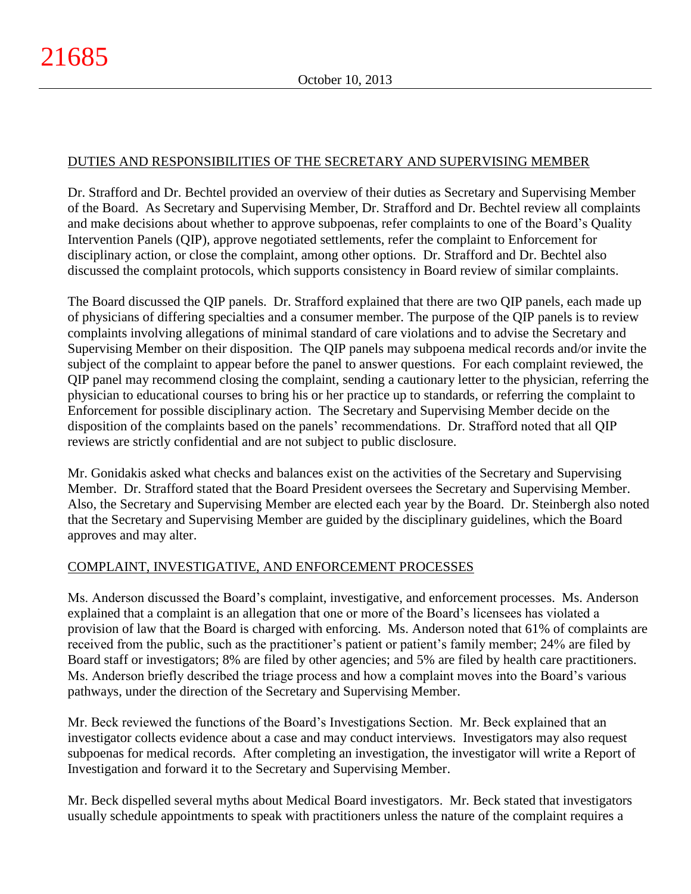# DUTIES AND RESPONSIBILITIES OF THE SECRETARY AND SUPERVISING MEMBER

Dr. Strafford and Dr. Bechtel provided an overview of their duties as Secretary and Supervising Member of the Board. As Secretary and Supervising Member, Dr. Strafford and Dr. Bechtel review all complaints and make decisions about whether to approve subpoenas, refer complaints to one of the Board's Quality Intervention Panels (QIP), approve negotiated settlements, refer the complaint to Enforcement for disciplinary action, or close the complaint, among other options. Dr. Strafford and Dr. Bechtel also discussed the complaint protocols, which supports consistency in Board review of similar complaints.

The Board discussed the QIP panels. Dr. Strafford explained that there are two QIP panels, each made up of physicians of differing specialties and a consumer member. The purpose of the QIP panels is to review complaints involving allegations of minimal standard of care violations and to advise the Secretary and Supervising Member on their disposition. The QIP panels may subpoena medical records and/or invite the subject of the complaint to appear before the panel to answer questions. For each complaint reviewed, the QIP panel may recommend closing the complaint, sending a cautionary letter to the physician, referring the physician to educational courses to bring his or her practice up to standards, or referring the complaint to Enforcement for possible disciplinary action. The Secretary and Supervising Member decide on the disposition of the complaints based on the panels' recommendations. Dr. Strafford noted that all QIP reviews are strictly confidential and are not subject to public disclosure.

Mr. Gonidakis asked what checks and balances exist on the activities of the Secretary and Supervising Member. Dr. Strafford stated that the Board President oversees the Secretary and Supervising Member. Also, the Secretary and Supervising Member are elected each year by the Board. Dr. Steinbergh also noted that the Secretary and Supervising Member are guided by the disciplinary guidelines, which the Board approves and may alter.

# COMPLAINT, INVESTIGATIVE, AND ENFORCEMENT PROCESSES

Ms. Anderson discussed the Board's complaint, investigative, and enforcement processes. Ms. Anderson explained that a complaint is an allegation that one or more of the Board's licensees has violated a provision of law that the Board is charged with enforcing. Ms. Anderson noted that 61% of complaints are received from the public, such as the practitioner's patient or patient's family member; 24% are filed by Board staff or investigators; 8% are filed by other agencies; and 5% are filed by health care practitioners. Ms. Anderson briefly described the triage process and how a complaint moves into the Board's various pathways, under the direction of the Secretary and Supervising Member.

Mr. Beck reviewed the functions of the Board's Investigations Section. Mr. Beck explained that an investigator collects evidence about a case and may conduct interviews. Investigators may also request subpoenas for medical records. After completing an investigation, the investigator will write a Report of Investigation and forward it to the Secretary and Supervising Member.

Mr. Beck dispelled several myths about Medical Board investigators. Mr. Beck stated that investigators usually schedule appointments to speak with practitioners unless the nature of the complaint requires a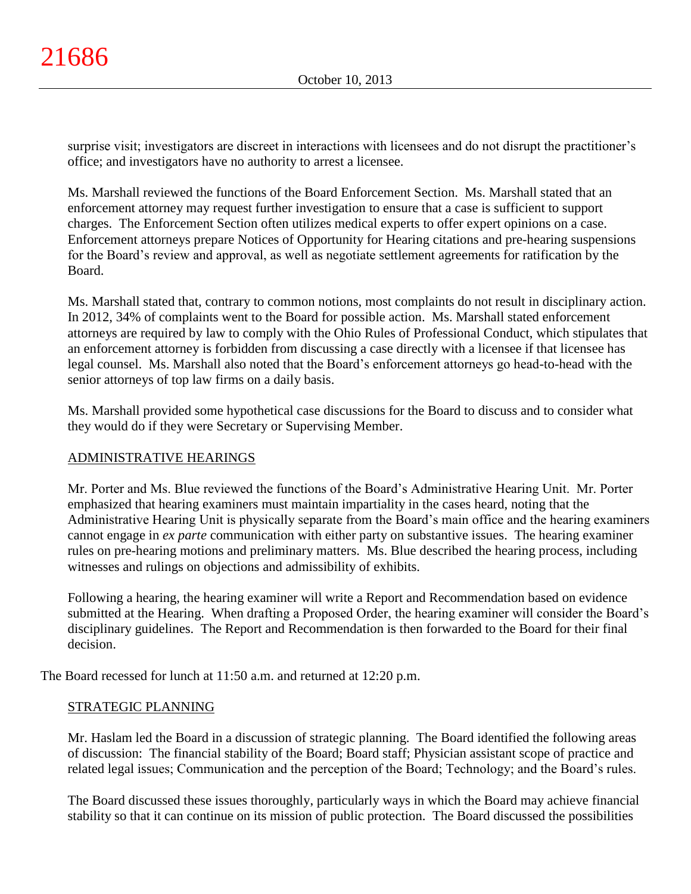surprise visit; investigators are discreet in interactions with licensees and do not disrupt the practitioner's office; and investigators have no authority to arrest a licensee.

Ms. Marshall reviewed the functions of the Board Enforcement Section. Ms. Marshall stated that an enforcement attorney may request further investigation to ensure that a case is sufficient to support charges. The Enforcement Section often utilizes medical experts to offer expert opinions on a case. Enforcement attorneys prepare Notices of Opportunity for Hearing citations and pre-hearing suspensions for the Board's review and approval, as well as negotiate settlement agreements for ratification by the Board.

Ms. Marshall stated that, contrary to common notions, most complaints do not result in disciplinary action. In 2012, 34% of complaints went to the Board for possible action. Ms. Marshall stated enforcement attorneys are required by law to comply with the Ohio Rules of Professional Conduct, which stipulates that an enforcement attorney is forbidden from discussing a case directly with a licensee if that licensee has legal counsel. Ms. Marshall also noted that the Board's enforcement attorneys go head-to-head with the senior attorneys of top law firms on a daily basis.

Ms. Marshall provided some hypothetical case discussions for the Board to discuss and to consider what they would do if they were Secretary or Supervising Member.

# ADMINISTRATIVE HEARINGS

Mr. Porter and Ms. Blue reviewed the functions of the Board's Administrative Hearing Unit. Mr. Porter emphasized that hearing examiners must maintain impartiality in the cases heard, noting that the Administrative Hearing Unit is physically separate from the Board's main office and the hearing examiners cannot engage in *ex parte* communication with either party on substantive issues. The hearing examiner rules on pre-hearing motions and preliminary matters. Ms. Blue described the hearing process, including witnesses and rulings on objections and admissibility of exhibits.

Following a hearing, the hearing examiner will write a Report and Recommendation based on evidence submitted at the Hearing. When drafting a Proposed Order, the hearing examiner will consider the Board's disciplinary guidelines. The Report and Recommendation is then forwarded to the Board for their final decision.

The Board recessed for lunch at 11:50 a.m. and returned at 12:20 p.m.

# STRATEGIC PLANNING

Mr. Haslam led the Board in a discussion of strategic planning. The Board identified the following areas of discussion: The financial stability of the Board; Board staff; Physician assistant scope of practice and related legal issues; Communication and the perception of the Board; Technology; and the Board's rules.

The Board discussed these issues thoroughly, particularly ways in which the Board may achieve financial stability so that it can continue on its mission of public protection. The Board discussed the possibilities